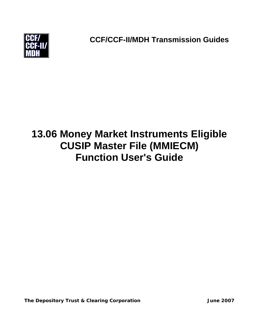

**CCF/CCF-II/MDH Transmission Guides**

# **13.06 Money Market Instruments Eligible CUSIP Master File (MMIECM) Function User's Guide**

The Depository Trust & Clearing Corporation **Fig. 2007** June 2007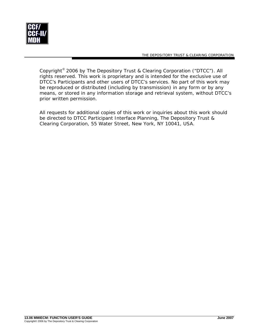

Copyright© 2006 by The Depository Trust & Clearing Corporation ("DTCC"). All rights reserved. This work is proprietary and is intended for the exclusive use of DTCC's Participants and other users of DTCC's services. No part of this work may be reproduced or distributed (including by transmission) in any form or by any means, or stored in any information storage and retrieval system, without DTCC's prior written permission.

All requests for additional copies of this work or inquiries about this work should be directed to DTCC Participant Interface Planning, The Depository Trust & Clearing Corporation, 55 Water Street, New York, NY 10041, USA.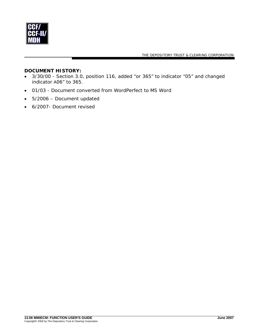

#### **DOCUMENT HISTORY:**

- 3/30/00 Section 3.0, position 116, added "or 365" to indicator "05" and changed indicator A06" to 365.
- 01/03 Document converted from WordPerfect to MS Word
- 5/2006 Document updated
- 6/2007- Document revised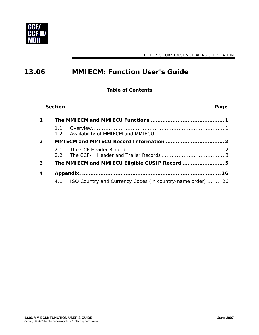

## **13.06 MMIECM: Function User's Guide**

**Table of Contents** 

|              | <b>Section</b>       | Page                                                       |
|--------------|----------------------|------------------------------------------------------------|
|              |                      |                                                            |
|              | 1.1<br>$1.2^{\circ}$ |                                                            |
| $\mathbf{z}$ |                      |                                                            |
|              | 2.1<br>22            |                                                            |
| 3            |                      | The MMIECM and MMIECU Eligible CUSIP Record  5             |
| 4            |                      |                                                            |
|              | 4.1                  | ISO Country and Currency Codes (in country-name order)  26 |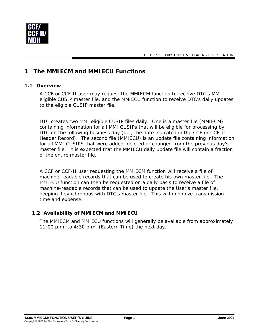<span id="page-4-0"></span>

## **1 The MMIECM and MMIECU Functions**

#### **1.1 Overview**

A CCF or CCF-II user may request the MMIECM function to receive DTC's MMI eligible CUSIP master file, and the MMIECU function to receive DTC's daily updates to the eligible CUSIP master file.

DTC creates two MMI eligible CUSIP files daily. One is a master file (MMIECM) containing information for all MMI CUSIPs that will be eligible for processing by DTC on the following business day (i.e., the date indicated in the CCF or CCF-II Header Record). The second file (MMIECU) is an update file containing information for all MMI CUSIPS that were added, deleted or changed from the previous day's master file. It is expected that the MMIECU daily update file will contain a fraction of the entire master file.

A CCF or CCF-II user requesting the MMIECM function will receive a file of machine-readable records that can be used to create his own master file. The MMIECU function can then be requested on a daily basis to receive a file of machine-readable records that can be used to update the User's master file, keeping it synchronous with DTC's master file. This will minimize transmission time and expense.

#### **1.2 Availability of MMIECM and MMIECU**

The MMIECM and MMIECU functions will generally be available from approximately 11:00 p.m. to 4:30 p.m. (Eastern Time) the next day.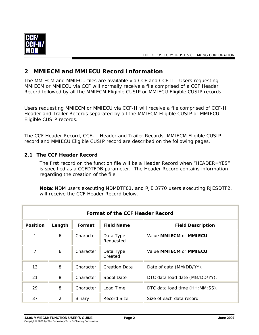<span id="page-5-0"></span>

## **2 MMIECM and MMIECU Record Information**

The MMIECM and MMIECU files are available via CCF and CCF-II. Users requesting MMIECM or MMIECU via CCF will normally receive a file comprised of a CCF Header Record followed by all the MMIECM Eligible CUSIP or MMIECU Eligible CUSIP records.

Users requesting MMIECM or MMIECU via CCF-II will receive a file comprised of CCF-II Header and Trailer Records separated by all the MMIECM Eligible CUSIP or MMIECU Eligible CUSIP records.

The CCF Header Record, CCF-II Header and Trailer Records, MMIECM Eligible CUSIP record and MMIECU Eligible CUSIP record are described on the following pages.

#### **2.1 The CCF Header Record**

The first record on the function file will be a Header Record when "HEADER=YES" is specified as a CCFDTFDB parameter. The Header Record contains information regarding the creation of the file.

**Note:** NDM users executing NDMDTF01, and RJE 3770 users executing RJESDTF2, will receive the CCF Header Record below.

|                 | Format of the CCF Header Record |           |                        |                                           |  |  |  |
|-----------------|---------------------------------|-----------|------------------------|-------------------------------------------|--|--|--|
| <b>Position</b> | Length                          | Format    | <b>Field Name</b>      | <b>Field Description</b>                  |  |  |  |
| 1               | 6                               | Character | Data Type<br>Requested | Value <b>MMIECM</b> or <b>MMIECU</b> .    |  |  |  |
| 7               | 6                               | Character | Data Type<br>Created   | Value <b>MMIECM</b> or <b>MMIECU</b> .    |  |  |  |
| 13              | 8                               | Character | <b>Creation Date</b>   | Date of data (MM/DD/YY).                  |  |  |  |
| 21              | 8                               | Character | Spool Date             | DTC data load date (MM/DD/YY).            |  |  |  |
| 29              | 8                               | Character | Load Time              | DTC data load time ( <i>HH: MM: SS</i> ). |  |  |  |
| 37              | $\mathcal{P}$                   | Binary    | Record Size            | Size of each data record.                 |  |  |  |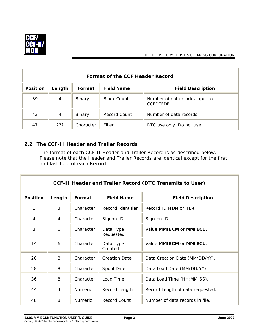<span id="page-6-0"></span>

| Format of the CCF Header Record |        |           |                    |                                             |  |  |
|---------------------------------|--------|-----------|--------------------|---------------------------------------------|--|--|
| <b>Position</b>                 | Length | Format    | <b>Field Name</b>  | <b>Field Description</b>                    |  |  |
| 39                              | 4      | Binary    | <b>Block Count</b> | Number of data blocks input to<br>CCFDTFDB. |  |  |
| 43                              | 4      | Binary    | Record Count       | Number of data records.                     |  |  |
| 47                              | ???    | Character | Filler             | DTC use only. Do not use.                   |  |  |

## **2.2 The CCF-II Header and Trailer Records**

The format of each CCF-II Header and Trailer Record is as described below. Please note that the Header and Trailer Records are identical except for the first and last field of each Record.

|                 | <b>CCF-II Header and Trailer Record (DTC Transmits to User)</b> |                |                        |                                        |  |  |  |
|-----------------|-----------------------------------------------------------------|----------------|------------------------|----------------------------------------|--|--|--|
| <b>Position</b> | Length                                                          | Format         | <b>Field Name</b>      | <b>Field Description</b>               |  |  |  |
| 1               | 3                                                               | Character      | Record Identifier      | Record ID <b>HDR</b> or <b>TLR</b> .   |  |  |  |
| 4               | 4                                                               | Character      | Signon ID              | Sign-on ID.                            |  |  |  |
| 8               | 6                                                               | Character      | Data Type<br>Requested | Value <b>MMIECM</b> or <b>MMIECU</b> . |  |  |  |
| 14              | 6                                                               | Character      | Data Type<br>Created   | Value <b>MMIECM</b> or <b>MMIECU</b> . |  |  |  |
| 20              | 8                                                               | Character      | <b>Creation Date</b>   | Data Creation Date (MM/DD/YY).         |  |  |  |
| 28              | 8                                                               | Character      | Spool Date             | Data Load Date (MM/DD/YY).             |  |  |  |
| 36              | 8                                                               | Character      | Load Time              | Data Load Time (HH: MM: SS).           |  |  |  |
| 44              | 4                                                               | <b>Numeric</b> | Record Length          | Record Length of data requested.       |  |  |  |
| 48              | 8                                                               | Numeric        | <b>Record Count</b>    | Number of data records in file.        |  |  |  |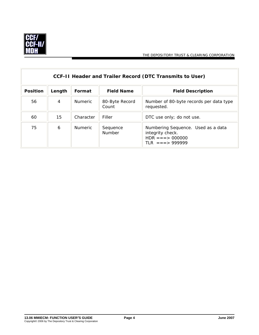

 $\overline{\mathbb{F}}$ 

 $\overline{\mathbf{u}}$ 

|                 | CCF-II Header and Trailer Record (DTC Transmits to User) |                |                         |                                                                                                       |  |  |  |
|-----------------|----------------------------------------------------------|----------------|-------------------------|-------------------------------------------------------------------------------------------------------|--|--|--|
| <b>Position</b> | Length                                                   | Format         | <b>Field Name</b>       | <b>Field Description</b>                                                                              |  |  |  |
| 56              | 4                                                        | <b>Numeric</b> | 80-Byte Record<br>Count | Number of 80-byte records per data type<br>requested.                                                 |  |  |  |
| 60              | 15                                                       | Character      | Filler                  | DTC use only; do not use.                                                                             |  |  |  |
| 75              | 6                                                        | <b>Numeric</b> | Sequence<br>Number      | Numbering Sequence. Used as a data<br>integrity check.<br>$HDR == = > 000000$<br>$TIR = = = > 999999$ |  |  |  |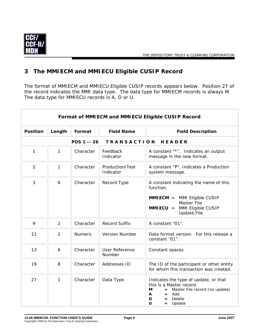<span id="page-8-0"></span>

## **3 The MMIECM and MMIECU Eligible CUSIP Record**

The format of MMIECM and MMIECU Eligible CUSIP records appears below. Position 27 of the record indicates the MMI data type. The data type for MMIECM records is always M. The data type for MMIECU records is A, D or U.

| Format of MMIECM and MMIECU Eligible CUSIP Record |                |                |                                 |                                                                                                                                                                                    |  |
|---------------------------------------------------|----------------|----------------|---------------------------------|------------------------------------------------------------------------------------------------------------------------------------------------------------------------------------|--|
| <b>Position</b>                                   | Length         | Format         | <b>Field Name</b>               | <b>Field Description</b>                                                                                                                                                           |  |
|                                                   |                | POS 1 -- 26    | <b>TRANSACTION</b>              | HEADER                                                                                                                                                                             |  |
| 1                                                 | 1              | Character      | Feedback<br>Indicator           | A constant "*". Indicates an output<br>message in the new format.                                                                                                                  |  |
| $\overline{2}$                                    | 1              | Character      | Production/Test<br>Indicator    | A constant "P". Indicates a Production<br>system message.                                                                                                                          |  |
| 3                                                 | 6              | Character      | Record Type                     | A constant indicating the name of this<br>function.<br>$MMIECM = MMI$ Eligible CUSIP<br><b>Master File</b><br><b>MMIECU</b> = $MMI$ Eligible CUSIP<br>Update File.                 |  |
| 9                                                 | $\overline{2}$ | Character      | <b>Record Suffix</b>            | A constant "01".                                                                                                                                                                   |  |
| 11                                                | $\overline{2}$ | <b>Numeric</b> | <b>Version Number</b>           | Data format version. For this release a<br>constant "01".                                                                                                                          |  |
| 13                                                | 6              | Character      | <b>User Reference</b><br>Number | Constant spaces.                                                                                                                                                                   |  |
| 19                                                | 8              | Character      | Addresses ID                    | The ID of the participant or other entity<br>for whom this transaction was created.                                                                                                |  |
| 27                                                | 1              | Character      | Data Type                       | Indicates the type of update, or that<br>this is a Master record.<br>М<br>Master File record (no update)<br>$=$ $-$<br>A<br>Add<br>$=$<br>D<br>Delete<br>$=$<br>U<br>Update<br>$=$ |  |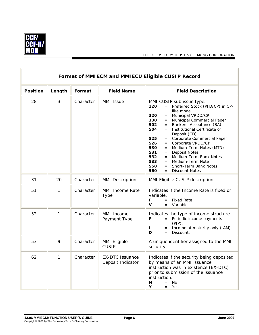

 $\overline{\mathbb{F}}$ 

THE DEPOSITORY TRUST & CLEARING CORPORATION

 $\overline{1}$ 

|                 | Format of MMIECM and MMIECU Eligible CUSIP Record |           |                                             |                                                                                                                                                                                                                                                                                                                                                                                                                                                                                                                                                                                            |  |  |  |
|-----------------|---------------------------------------------------|-----------|---------------------------------------------|--------------------------------------------------------------------------------------------------------------------------------------------------------------------------------------------------------------------------------------------------------------------------------------------------------------------------------------------------------------------------------------------------------------------------------------------------------------------------------------------------------------------------------------------------------------------------------------------|--|--|--|
| <b>Position</b> | Length                                            | Format    | <b>Field Name</b>                           | <b>Field Description</b>                                                                                                                                                                                                                                                                                                                                                                                                                                                                                                                                                                   |  |  |  |
| 28              | 3                                                 | Character | MMI Issue                                   | MMI CUSIP sub issue type.<br>= Preferred Stock (PFD/CP) in CP-<br>120<br>like mode<br>Municipal VRDO/CP<br>320<br>$=$<br>330<br>Municipal Commercial Paper<br>$=$<br>502<br>Bankers' Acceptance (BA)<br>$=$<br>504<br>Institutional Certificate of<br>$=$<br>Deposit (CD)<br>Corporate Commercial Paper<br>525<br>$=$<br>= Corporate VRDO/CP<br>526<br>Medium-Term Notes (MTN)<br>530<br>531<br><b>Deposit Notes</b><br>$=$<br>532<br>Medium-Term Bank Notes<br>$=$<br>533<br>Medium-Term Note<br>$=$<br>550<br><b>Short-Term Bank Notes</b><br>$=$<br>560<br><b>Discount Notes</b><br>$=$ |  |  |  |
| 31              | 20                                                | Character | <b>MMI Description</b>                      | MMI Eligible CUSIP description.                                                                                                                                                                                                                                                                                                                                                                                                                                                                                                                                                            |  |  |  |
| 51              | 1                                                 | Character | MMI Income Rate<br>Type                     | Indicates if the Income Rate is fixed or<br>variable.<br>F<br>$=$ Fixed Rate<br>$\mathbf v$<br>Variable<br>$=$                                                                                                                                                                                                                                                                                                                                                                                                                                                                             |  |  |  |
| 52              | 1                                                 | Character | MMI Income<br>Payment Type                  | Indicates the type of income structure.<br>= Periodic income payments<br>P<br>$(PIP)$ .<br>Income at maturity only (IAM).<br>I.<br>$=$<br>D<br>Discount.<br>$=$                                                                                                                                                                                                                                                                                                                                                                                                                            |  |  |  |
| 53              | 9                                                 | Character | MMI Eligible<br><b>CUSIP</b>                | A unique identifier assigned to the MMI<br>security.                                                                                                                                                                                                                                                                                                                                                                                                                                                                                                                                       |  |  |  |
| 62              | 1                                                 | Character | <b>EX-DTC Issuance</b><br>Deposit Indicator | Indicates if the security being deposited<br>by means of an MMI issuance<br>instruction was in existence (EX-DTC)<br>prior to submission of the issuance<br>instruction.<br>N<br>$=$ No<br>Υ<br>$=$ Yes                                                                                                                                                                                                                                                                                                                                                                                    |  |  |  |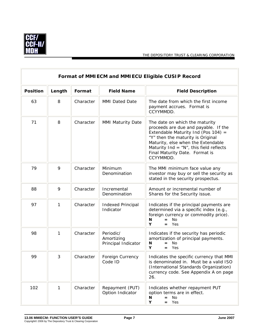

 $\overline{\mathbf{1}}$ 

|                 | Format of MMIECM and MMIECU Eligible CUSIP Record |           |                                                |                                                                                                                                                                                                                                                                                       |  |  |
|-----------------|---------------------------------------------------|-----------|------------------------------------------------|---------------------------------------------------------------------------------------------------------------------------------------------------------------------------------------------------------------------------------------------------------------------------------------|--|--|
| <b>Position</b> | Length                                            | Format    | <b>Field Name</b>                              | <b>Field Description</b>                                                                                                                                                                                                                                                              |  |  |
| 63              | 8                                                 | Character | <b>MMI Dated Date</b>                          | The date from which the first income<br>payment accrues. Format is<br>CCYYMMDD.                                                                                                                                                                                                       |  |  |
| 71              | 8                                                 | Character | MMI Maturity Date                              | The date on which the maturity<br>proceeds are due and payable. If the<br>Extendable Maturity Ind (Pos 104) =<br>"Y" then the maturity is Original<br>Maturity, else when the Extendable<br>Maturity Ind = $N''$ , this field reflects<br>Final Maturity Date. Format is<br>CCYYMMDD. |  |  |
| 79              | 9                                                 | Character | Minimum<br>Denomination                        | The MMI minimum face value any<br>investor may buy or sell the security as<br>stated in the security prospectus.                                                                                                                                                                      |  |  |
| 88              | 9                                                 | Character | Incremental<br>Denomination                    | Amount or incremental number of<br>Shares for the Security issue.                                                                                                                                                                                                                     |  |  |
| 97              | 1                                                 | Character | <b>Indexed Principal</b><br>Indicator          | Indicates if the principal payments are<br>determined via a specific index (e.g.,<br>foreign currency or commodity price).<br>$=$ No<br>N<br>Y<br>$=$ Yes                                                                                                                             |  |  |
| 98              | 1                                                 | Character | Periodic/<br>Amortizing<br>Principal Indicator | Indicates if the security has periodic<br>amortization of principal payments.<br><b>No</b><br>N<br>$=$<br>Υ<br>Yes<br>$=$                                                                                                                                                             |  |  |
| 99              | 3                                                 | Character | Foreign Currency<br>Code ID                    | Indicates the specific currency that MMI<br>is denominated in. Must be a valid ISO<br>(International Standards Organization)<br>currency code. See Appendix A on page<br>26.                                                                                                          |  |  |
| 102             | 1                                                 | Character | Repayment (PUT)<br>Option Indicator            | Indicates whether repayment PUT<br>option terms are in effect.<br>N<br>$=$ No<br>Y<br>$=$ Yes                                                                                                                                                                                         |  |  |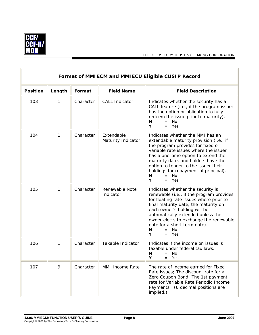

 $\overline{1}$ 

|                 | Format of MMIECM and MMIECU Eligible CUSIP Record |           |                                  |                                                                                                                                                                                                                                                                                                                                                                      |  |
|-----------------|---------------------------------------------------|-----------|----------------------------------|----------------------------------------------------------------------------------------------------------------------------------------------------------------------------------------------------------------------------------------------------------------------------------------------------------------------------------------------------------------------|--|
| <b>Position</b> | Length                                            | Format    | <b>Field Name</b>                | <b>Field Description</b>                                                                                                                                                                                                                                                                                                                                             |  |
| 103             | 1                                                 | Character | <b>CALL Indicator</b>            | Indicates whether the security has a<br>CALL feature (i.e., if the program issuer<br>has the option or obligation to fully<br>redeem the issue prior to maturity).<br>N<br>No.<br>$=$<br>Υ<br>Yes<br>$=$                                                                                                                                                             |  |
| 104             | 1                                                 | Character | Extendable<br>Maturity Indicator | Indicates whether the MMI has an<br>extendable maturity provision (i.e., if<br>the program provides for fixed or<br>variable rate issues where the issuer<br>has a one-time option to extend the<br>maturity date, and holders have the<br>option to tender to the issuer their<br>holdings for repayment of principal).<br><b>No</b><br>N<br>$=$<br>Y<br>Yes<br>$=$ |  |
| 105             | 1                                                 | Character | Renewable Note<br>Indicator      | Indicates whether the security is<br>renewable (i.e., if the program provides<br>for floating rate issues where prior to<br>final maturity date, the maturity on<br>each owner's holding will be<br>automatically extended unless the<br>owner elects to exchange the renewable<br>note for a short term note).<br>N<br><b>No</b><br>$=$<br>Υ<br>Yes<br>$=$          |  |
| 106             | $\mathbf{1}$                                      | Character | Taxable Indicator                | Indicates if the income on issues is<br>taxable under federal tax laws.<br>N<br>$=$ No<br>Υ<br>Yes<br>=                                                                                                                                                                                                                                                              |  |
| 107             | 9                                                 | Character | MMI Income Rate                  | The rate of income earned for Fixed<br>Rate issues; The discount rate for a<br>Zero Coupon Bond; The 1st payment<br>rate for Variable Rate Periodic Income<br>Payments. (6 decimal positions are<br>implied.)                                                                                                                                                        |  |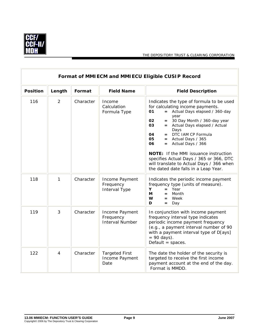

 $\overline{\mathbf{r}}$ 

|                 | Format of MMIECM and MMIECU Eligible CUSIP Record |           |                                                       |                                                                                                                                                                                                                                                                                                                                                                                                                                                                                            |  |  |
|-----------------|---------------------------------------------------|-----------|-------------------------------------------------------|--------------------------------------------------------------------------------------------------------------------------------------------------------------------------------------------------------------------------------------------------------------------------------------------------------------------------------------------------------------------------------------------------------------------------------------------------------------------------------------------|--|--|
| <b>Position</b> | Length                                            | Format    | <b>Field Name</b>                                     | <b>Field Description</b>                                                                                                                                                                                                                                                                                                                                                                                                                                                                   |  |  |
| 116             | 2                                                 | Character | Income<br>Calculation<br>Formula Type                 | Indicates the type of formula to be used<br>for calculating income payments.<br>= Actual Days elapsed / 360-day<br>01<br>year<br>02<br>$= 30$ Day Month / 360-day year<br>03<br>= Actual Days elapsed / Actual<br>Days<br>$=$ DTC IAM CP Formula<br>04<br>05<br>= Actual Days / 365<br>06<br>$=$ Actual Days / 366<br>NOTE: If the MMI issuance instruction<br>specifies Actual Days / 365 or 366, DTC<br>will translate to Actual Days / 366 when<br>the dated date falls in a Leap Year. |  |  |
| 118             | $\mathbf{1}$                                      | Character | Income Payment<br>Frequency<br>Interval Type          | Indicates the periodic income payment<br>frequency type (units of measure).<br>Year<br>Y<br>$=$<br>Month<br>М<br>$=$<br>W<br>= Week<br>D<br>Day<br>$=$                                                                                                                                                                                                                                                                                                                                     |  |  |
| 119             | 3                                                 | Character | Income Payment<br>Frequency<br><b>Interval Number</b> | In conjunction with income payment<br>frequency interval type indicates<br>periodic income payment frequency<br>(e.g., a payment interval number of 90<br>with a payment interval type of D[ays]<br>$= 90 \text{ days}.$<br>Default $=$ spaces.                                                                                                                                                                                                                                            |  |  |
| 122             | 4                                                 | Character | <b>Targeted First</b><br>Income Payment<br>Date       | The date the holder of the security is<br>targeted to receive the first income<br>payment account at the end of the day.<br>Format is MMDD.                                                                                                                                                                                                                                                                                                                                                |  |  |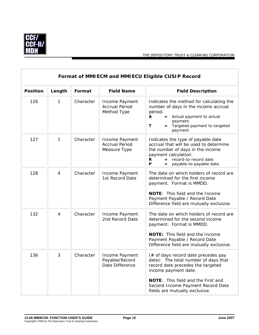

Ē

|                 | Format of MMIECM and MMIECU Eligible CUSIP Record |           |                                                         |                                                                                                                                                                                                                                                              |  |  |  |
|-----------------|---------------------------------------------------|-----------|---------------------------------------------------------|--------------------------------------------------------------------------------------------------------------------------------------------------------------------------------------------------------------------------------------------------------------|--|--|--|
| <b>Position</b> | Length                                            | Format    | <b>Field Name</b>                                       | <b>Field Description</b>                                                                                                                                                                                                                                     |  |  |  |
| 126             | 1                                                 | Character | Income Payment<br><b>Accrual Period</b><br>Method Type  | Indicates the method for calculating the<br>number of days in the income accrual<br>period.<br>Actual payment to actual<br>A<br>$=$<br>payment.<br>T<br>Targeted payment to targeted<br>$=$<br>payment.                                                      |  |  |  |
| 127             | 1                                                 | Character | Income Payment<br><b>Accrual Period</b><br>Measure Type | Indicates the type of payable date<br>accrual that will be used to determine<br>the number of days in the income<br>payment calculation.<br>record-to-record date.<br>R<br>P<br>payable-to-payable date.                                                     |  |  |  |
| 128             | 4                                                 | Character | Income Payment<br>1st Record Date                       | The date on which holders of record are<br>determined for the first income<br>payment. Format is MMDD.<br>NOTE: This field and the Income<br>Payment Payable / Record Date<br>Difference field are mutually exclusive.                                       |  |  |  |
| 132             | 4                                                 | Character | Income Payment<br>2nd Record Date                       | The date on which holders of record are<br>determined for the second income<br>payment. Format is MMDD.<br><b>NOTE:</b> This field and the Income<br>Payment Payable / Record Date<br>Difference field are mutually exclusive.                               |  |  |  |
| 136             | 3                                                 | Character | Income Payment<br>Payable/Record<br>Date Difference     | (# of days record date precedes pay<br>date): The total number of days that<br>record date precedes the targeted<br>income payment date.<br><b>NOTE:</b> This field and the First and<br>Second Income Payment Record Date<br>fields are mutually exclusive. |  |  |  |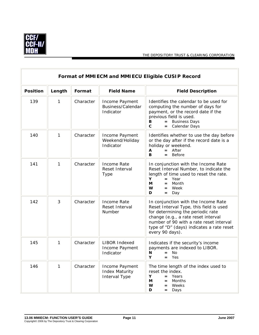

 $\overline{r}$ 

THE DEPOSITORY TRUST & CLEARING CORPORATION

 $\overline{a}$ 

|                 | Format of MMIECM and MMIECU Eligible CUSIP Record |           |                                                          |                                                                                                                                                                                                                                                                       |  |  |
|-----------------|---------------------------------------------------|-----------|----------------------------------------------------------|-----------------------------------------------------------------------------------------------------------------------------------------------------------------------------------------------------------------------------------------------------------------------|--|--|
| <b>Position</b> | Length                                            | Format    | <b>Field Name</b>                                        | <b>Field Description</b>                                                                                                                                                                                                                                              |  |  |
| 139             | 1                                                 | Character | Income Payment<br>Business/Calendar<br>Indicator         | Identifies the calendar to be used for<br>computing the number of days for<br>payment, or the record date if the<br>previous field is used.<br>= Business Days<br>в<br>$\mathbf{C}$<br>Calendar Days<br>$=$                                                           |  |  |
| 140             | 1                                                 | Character | Income Payment<br>Weekend/Holiday<br>Indicator           | Identifies whether to use the day before<br>or the day after if the record date is a<br>holiday or weekend.<br>$=$ After<br>A<br>B.<br><b>Before</b><br>$=$                                                                                                           |  |  |
| 141             | 1                                                 | Character | Income Rate<br>Reset Interval<br>Type                    | In conjunction with the Income Rate<br>Reset Interval Number, to indicate the<br>length of time used to reset the rate.<br>Y<br>$=$ Year<br>М<br>Month<br>$=$<br>W<br>Week<br>$=$<br>D<br>Day<br>$=$                                                                  |  |  |
| 142             | 3                                                 | Character | <b>Income Rate</b><br>Reset Interval<br>Number           | In conjunction with the Income Rate<br>Reset Interval Type, this field is used<br>for determining the periodic rate<br>change (e.g., a rate reset interval<br>number of 90 with a rate reset interval<br>type of "D" (days) indicates a rate reset<br>every 90 days). |  |  |
| 145             | 1                                                 | Character | <b>LIBOR Indexed</b><br>Income Payment<br>Indicator      | Indicates if the security's income<br>payments are indexed to LIBOR.<br>N<br><b>No</b><br>$=$<br>Y<br>Yes<br>$=$                                                                                                                                                      |  |  |
| 146             | 1                                                 | Character | Income Payment<br><b>Index Maturity</b><br>Interval Type | The time length of the index used to<br>reset the index.<br>Υ<br>$=$ Years<br>М<br>Months<br>$=$<br>W<br>Weeks<br>$=$<br>D<br>Days<br>$=$                                                                                                                             |  |  |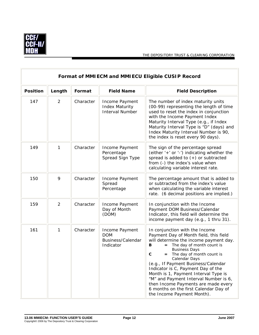

 $\overline{a}$ 

|                 | Format of MMIECM and MMIECU Eligible CUSIP Record |           |                                                                   |                                                                                                                                                                                                                                                                                                                                                                                                                                                                                                                         |  |
|-----------------|---------------------------------------------------|-----------|-------------------------------------------------------------------|-------------------------------------------------------------------------------------------------------------------------------------------------------------------------------------------------------------------------------------------------------------------------------------------------------------------------------------------------------------------------------------------------------------------------------------------------------------------------------------------------------------------------|--|
| <b>Position</b> | Length                                            | Format    | <b>Field Name</b>                                                 | <b>Field Description</b>                                                                                                                                                                                                                                                                                                                                                                                                                                                                                                |  |
| 147             | $\overline{2}$                                    | Character | Income Payment<br><b>Index Maturity</b><br><b>Interval Number</b> | The number of index maturity units<br>(00-99) representing the length of time<br>used to reset the index in conjunction<br>with the Income Payment Index<br>Maturity Interval Type (e.g., if Index<br>Maturity Interval Type is "D" (days) and<br>Index Maturity Interval Number is 90,<br>the index is reset every 90 days).                                                                                                                                                                                           |  |
| 149             | $\mathbf{1}$                                      | Character | Income Payment<br>Percentage<br>Spread Sign Type                  | The sign of the percentage spread<br>(either '+' or '-') indicating whether the<br>spread is added to $(+)$ or subtracted<br>from (-) the index's value when<br>calculating variable interest rate.                                                                                                                                                                                                                                                                                                                     |  |
| 150             | 9                                                 | Character | Income Payment<br>Spread<br>Percentage                            | The percentage amount that is added to<br>or subtracted from the index's value<br>when calculating the variable interest<br>rate. (6 decimal positions are implied.)                                                                                                                                                                                                                                                                                                                                                    |  |
| 159             | $\overline{2}$                                    | Character | Income Payment<br>Day of Month<br>(DOM)                           | In conjunction with the Income<br>Payment DOM Business/Calendar<br>Indicator, this field will determine the<br>income payment day (e.g., 1 thru 31).                                                                                                                                                                                                                                                                                                                                                                    |  |
| 161             | $\mathbf{1}$                                      | Character | Income Payment<br><b>DOM</b><br>Business/Calendar<br>Indicator    | In conjunction with the Income<br>Payment Day of Month field, this field<br>will determine the income payment day.<br>The day of month count is<br>в<br><b>Business Days</b><br>$\mathbf c$<br>= The day of month count is<br>Calendar Days<br>(e.g., If Payment Business/Calendar<br>Indicator is C, Payment Day of the<br>Month is 1, Payment Interval Type is<br>"M" and Payment Interval Number is 6,<br>then Income Payments are made every<br>6 months on the first Calendar Day of<br>the Income Payment Month). |  |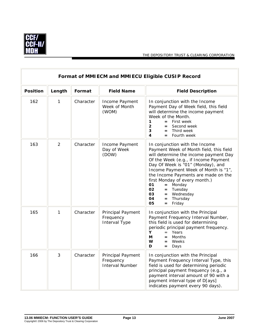

r.

| Format of MMIECM and MMIECU Eligible CUSIP Record |                |           |                                                                 |                                                                                                                                                                                                                                                                                                                                                                                                                                     |  |
|---------------------------------------------------|----------------|-----------|-----------------------------------------------------------------|-------------------------------------------------------------------------------------------------------------------------------------------------------------------------------------------------------------------------------------------------------------------------------------------------------------------------------------------------------------------------------------------------------------------------------------|--|
| <b>Position</b>                                   | Length         | Format    | <b>Field Name</b>                                               | <b>Field Description</b>                                                                                                                                                                                                                                                                                                                                                                                                            |  |
| 162                                               | $\mathbf{1}$   | Character | Income Payment<br>Week of Month<br>(WOM)                        | In conjunction with the Income<br>Payment Day of Week field, this field<br>will determine the income payment<br>Week of the Month.<br>$\mathbf{1}$<br>$=$ First week<br>$\overline{2}$<br>Second week<br>$=$<br>3<br>Third week<br>$=$<br>4<br>$=$ Fourth week                                                                                                                                                                      |  |
| 163                                               | $\overline{2}$ | Character | Income Payment<br>Day of Week<br>(DOW)                          | In conjunction with the Income<br>Payment Week of Month field, this field<br>will determine the income payment Day<br>Of the Week (e.g., if Income Payment<br>Day Of Week is "01" (Monday), and<br>Income Payment Week of Month is "1",<br>the Income Payments are made on the<br>first Monday of every month.)<br>Monday<br>01<br>$=$<br>02<br>Tuesday<br>$=$<br>03<br>= Wednesday<br>Thursday<br>04<br>$=$<br>Friday<br>05<br>$=$ |  |
| 165                                               | $\mathbf{1}$   | Character | Principal Payment<br>Frequency<br>Interval Type                 | In conjunction with the Principal<br>Payment Frequency Interval Number,<br>this field is used for determining<br>periodic principal payment frequency.<br>Υ<br>Years<br>$=$<br>М<br><b>Months</b><br>$=$<br>W<br>Weeks<br>$=$<br>D<br>Days<br>$=$                                                                                                                                                                                   |  |
| 166                                               | 3              | Character | <b>Principal Payment</b><br>Frequency<br><b>Interval Number</b> | In conjunction with the Principal<br>Payment Frequency Interval Type, this<br>field is used for determining periodic<br>principal payment frequency (e.g., a<br>payment interval amount of 90 with a<br>payment interval type of D[ays]<br>indicates payment every 90 days).                                                                                                                                                        |  |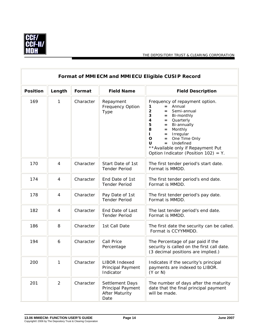

r.

THE DEPOSITORY TRUST & CLEARING CORPORATION

 $\overline{a}$ 

| Format of MMIECM and MMIECU Eligible CUSIP Record |                |           |                                                                              |                                                                                                                                                                                                                                                                                                                                                                                              |
|---------------------------------------------------|----------------|-----------|------------------------------------------------------------------------------|----------------------------------------------------------------------------------------------------------------------------------------------------------------------------------------------------------------------------------------------------------------------------------------------------------------------------------------------------------------------------------------------|
| <b>Position</b>                                   | Length         | Format    | <b>Field Name</b>                                                            | <b>Field Description</b>                                                                                                                                                                                                                                                                                                                                                                     |
| 169                                               | 1              | Character | Repayment<br><b>Frequency Option</b><br>Type                                 | Frequency of repayment option.<br>$=$ Annual<br>1<br>$\overline{2}$<br>$=$ Semi-annual<br>3<br>$=$ Bi-monthly<br>$\overline{\mathbf{4}}$<br>= Quarterly<br>5<br>Bi-annually<br>$=$<br>8<br>Monthly<br>$=$<br>Irregular<br>$\mathbf{L}$<br>$=$<br>One Time Only<br>$\mathbf{o}$<br>$=$<br>Undefined<br>U<br>$=$<br>** Available only if Repayment Put<br>Option Indicator (Position 102) = Y. |
| 170                                               | 4              | Character | Start Date of 1st<br><b>Tender Period</b>                                    | The first tender period's start date.<br>Format is MMDD.                                                                                                                                                                                                                                                                                                                                     |
| 174                                               | $\overline{4}$ | Character | End Date of 1st<br><b>Tender Period</b>                                      | The first tender period's end date.<br>Format is MMDD.                                                                                                                                                                                                                                                                                                                                       |
| 178                                               | 4              | Character | Pay Date of 1st<br><b>Tender Period</b>                                      | The first tender period's pay date.<br>Format is MMDD.                                                                                                                                                                                                                                                                                                                                       |
| 182                                               | 4              | Character | End Date of Last<br><b>Tender Period</b>                                     | The last tender period's end date.<br>Format is MMDD.                                                                                                                                                                                                                                                                                                                                        |
| 186                                               | 8              | Character | 1st Call Date                                                                | The first date the security can be called.<br>Format is CCYYMMDD.                                                                                                                                                                                                                                                                                                                            |
| 194                                               | 6              | Character | Call Price<br>Percentage                                                     | The Percentage of par paid if the<br>security is called on the first call date.<br>(3 decimal positions are implied.)                                                                                                                                                                                                                                                                        |
| 200                                               | 1              | Character | <b>LIBOR Indexed</b><br>Principal Payment<br>Indicator                       | Indicates if the security's principal<br>payments are indexed to LIBOR.<br>$(Y \text{ or } N)$                                                                                                                                                                                                                                                                                               |
| 201                                               | $\overline{2}$ | Character | <b>Settlement Days</b><br>Principal Payment<br><b>After Maturity</b><br>Date | The number of days after the maturity<br>date that the final principal payment<br>will be made.                                                                                                                                                                                                                                                                                              |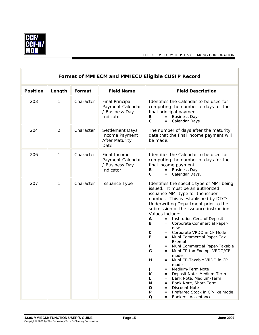

|                 | Format of MMIECM and MMIECU Eligible CUSIP Record |           |                                                                           |                                                                                                                                                                                                                                                                                                                                                                                                                                                                                                                                                                                                                                                                                                                                                                                                                                                                    |  |
|-----------------|---------------------------------------------------|-----------|---------------------------------------------------------------------------|--------------------------------------------------------------------------------------------------------------------------------------------------------------------------------------------------------------------------------------------------------------------------------------------------------------------------------------------------------------------------------------------------------------------------------------------------------------------------------------------------------------------------------------------------------------------------------------------------------------------------------------------------------------------------------------------------------------------------------------------------------------------------------------------------------------------------------------------------------------------|--|
| <b>Position</b> | Length                                            | Format    | <b>Field Name</b>                                                         | <b>Field Description</b>                                                                                                                                                                                                                                                                                                                                                                                                                                                                                                                                                                                                                                                                                                                                                                                                                                           |  |
| 203             | 1                                                 | Character | <b>Final Principal</b><br>Payment Calendar<br>/ Business Day<br>Indicator | Identifies the Calendar to be used for<br>computing the number of days for the<br>final principal payment.<br>= Business Days<br>в<br>$\mathbf c$<br>Calendar Days.<br>$=$                                                                                                                                                                                                                                                                                                                                                                                                                                                                                                                                                                                                                                                                                         |  |
| 204             | $\overline{2}$                                    | Character | Settlement Days<br>Income Payment<br><b>After Maturity</b><br>Date        | The number of days after the maturity<br>date that the final income payment will<br>be made.                                                                                                                                                                                                                                                                                                                                                                                                                                                                                                                                                                                                                                                                                                                                                                       |  |
| 206             | 1                                                 | Character | Final Income<br>Payment Calendar<br>/ Business Day<br>Indicator           | Identifies the Calendar to be used for<br>computing the number of days for the<br>final income payment.<br>= Business Days<br>В<br>$\mathbf c$<br>Calendar Days.<br>$=$                                                                                                                                                                                                                                                                                                                                                                                                                                                                                                                                                                                                                                                                                            |  |
| 207             | 1                                                 | Character | <b>Issuance Type</b>                                                      | Identifies the specific type of MMI being<br>issued. It must be an authorized<br>issuance MMI type for the issuer<br>number. This is established by DTC's<br>Underwriting Department prior to the<br>submission of the issuance instruction.<br>Values include:<br>A<br>= Institution Cert. of Deposit<br>Corporate Commercial Paper-<br>B<br>$=$<br>new<br>C<br>Corporate VRDO in CP Mode<br>$=$<br>E<br>Muni Commercial Paper-Tax<br>$=$<br>Exempt<br>Muni Commercial Paper-Taxable<br>F<br>$=$<br>G<br>Muni CP-tax Exempt VRDO/CP<br>$=$<br>mode<br>Muni CP-Taxable VRDO in CP<br>н<br>mode<br>Medium-Term Note<br>J<br>$=$<br>Deposit Note, Medium-Term<br>K<br>$=$<br>Bank Note, Medium-Term<br>L<br>$=$<br>Bank Note, Short-Term<br>N<br>$=$<br>Discount Note<br>O<br>$=$<br>Preferred Stock in CP-like mode<br>P<br>$=$<br>Q<br>Bankers' Acceptance.<br>$=$ |  |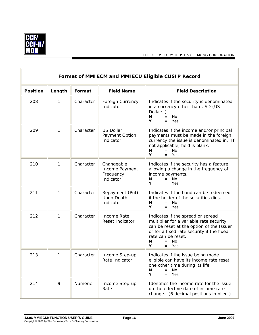

 $\overline{\mathbb{F}}$ 

 $\overline{1}$ 

|                 | Format of MMIECM and MMIECU Eligible CUSIP Record |           |                                                        |                                                                                                                                                                                                                                         |  |
|-----------------|---------------------------------------------------|-----------|--------------------------------------------------------|-----------------------------------------------------------------------------------------------------------------------------------------------------------------------------------------------------------------------------------------|--|
| <b>Position</b> | Length                                            | Format    | <b>Field Name</b>                                      | <b>Field Description</b>                                                                                                                                                                                                                |  |
| 208             | 1                                                 | Character | Foreign Currency<br>Indicator                          | Indicates if the security is denominated<br>in a currency other than USD (US<br>Dollars.)<br>No<br>N<br>$=$<br>Υ<br>Yes<br>$=$                                                                                                          |  |
| 209             | 1                                                 | Character | <b>US Dollar</b><br>Payment Option<br>Indicator        | Indicates if the income and/or principal<br>payments must be made in the foreign<br>currency the issue is denominated in. If<br>not applicable, field is blank.<br>N<br>No<br>$=$<br>Y<br>Yes<br>$=$                                    |  |
| 210             | $\mathbf{1}$                                      | Character | Changeable<br>Income Payment<br>Frequency<br>Indicator | Indicates if the security has a feature<br>allowing a change in the frequency of<br>income payments.<br>No<br>N<br>$=$<br>Y<br>$=$ Yes                                                                                                  |  |
| 211             | 1                                                 | Character | Repayment (Put)<br>Upon Death<br>Indicator             | Indicates if the bond can be redeemed<br>if the holder of the securities dies.<br><b>No</b><br>N<br>$=$<br>Y<br>Yes<br>$=$                                                                                                              |  |
| 212             | 1                                                 | Character | Income Rate<br>Reset Indicator                         | Indicates if the spread or spread<br>multiplier for a variable rate security<br>can be reset at the option of the Issuer<br>or for a fixed rate security if the fixed<br>rate can be reset.<br>N<br><b>No</b><br>$=$<br>Y<br>Yes<br>$=$ |  |
| 213             | $\mathbf{1}$                                      | Character | Income Step-up<br>Rate Indicator                       | Indicates if the issue being made<br>eligible can have its income rate reset<br>one other time during its life.<br>N<br>No.<br>$=$<br>Υ<br>Yes<br>$=$                                                                                   |  |
| 214             | 9                                                 | Numeric   | Income Step-up<br>Rate                                 | Identifies the income rate for the issue<br>on the effective date of income rate<br>change. (6 decimal positions implied.)                                                                                                              |  |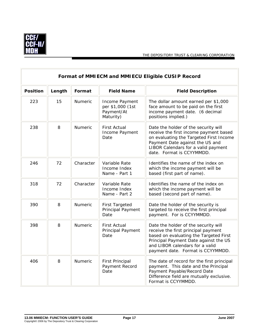

 $\overline{\mathbb{F}}$ 

THE DEPOSITORY TRUST & CLEARING CORPORATION

 $\overline{1}$ 

| Format of MMIECM and MMIECU Eligible CUSIP Record |        |                |                                                               |                                                                                                                                                                                                                                        |
|---------------------------------------------------|--------|----------------|---------------------------------------------------------------|----------------------------------------------------------------------------------------------------------------------------------------------------------------------------------------------------------------------------------------|
| <b>Position</b>                                   | Length | Format         | <b>Field Name</b>                                             | <b>Field Description</b>                                                                                                                                                                                                               |
| 223                                               | 15     | Numeric        | Income Payment<br>per \$1,000 (1st<br>Payment/At<br>Maturity) | The dollar amount earned per \$1,000<br>face amount to be paid on the first<br>income payment date. (6 decimal<br>positions implied.)                                                                                                  |
| 238                                               | 8      | Numeric        | <b>First Actual</b><br>Income Payment<br>Date                 | Date the holder of the security will<br>receive the first income payment based<br>on evaluating the Targeted First Income<br>Payment Date against the US and<br>LIBOR Calendars for a valid payment<br>date. Format is CCYYMMDD.       |
| 246                                               | 72     | Character      | Variable Rate<br>Income Index<br>Name - Part 1                | Identifies the name of the index on<br>which the income payment will be<br>based (first part of name).                                                                                                                                 |
| 318                                               | 72     | Character      | Variable Rate<br>Income Index<br>Name - Part 2                | Identifies the name of the index on<br>which the income payment will be<br>based (second part of name).                                                                                                                                |
| 390                                               | 8      | <b>Numeric</b> | <b>First Targeted</b><br>Principal Payment<br>Date            | Date the holder of the security is<br>targeted to receive the first principal<br>payment. For is CCYYMMDD.                                                                                                                             |
| 398                                               | 8      | Numeric        | First Actual<br>Principal Payment<br>Date                     | Date the holder of the security will<br>receive the first principal payment<br>based on evaluating the Targeted First<br>Principal Payment Date against the US<br>and LIBOR calendars for a valid<br>payment date. Format is CCYYMMDD. |
| 406                                               | 8      | Numeric        | <b>First Principal</b><br>Payment Record<br>Date              | The date of record for the first principal<br>payment. This date and the Principal<br>Payment Payable/Record Date<br>Difference field are mutually exclusive.<br>Format is CCYYMMDD.                                                   |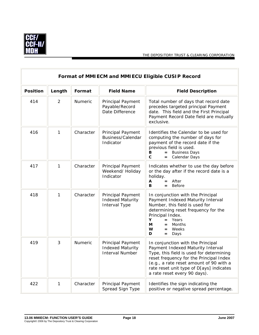

 $\overline{\mathbf{r}}$ 

|                 | Format of MMIECM and MMIECU Eligible CUSIP Record |                |                                                                        |                                                                                                                                                                                                                                                                                      |  |
|-----------------|---------------------------------------------------|----------------|------------------------------------------------------------------------|--------------------------------------------------------------------------------------------------------------------------------------------------------------------------------------------------------------------------------------------------------------------------------------|--|
| <b>Position</b> | Length                                            | Format         | <b>Field Name</b>                                                      | <b>Field Description</b>                                                                                                                                                                                                                                                             |  |
| 414             | $\overline{2}$                                    | Numeric        | Principal Payment<br>Payable/Record<br>Date Difference                 | Total number of days that record date<br>precedes targeted principal Payment<br>date. This field and the First Principal<br>Payment Record Date field are mutually<br>exclusive.                                                                                                     |  |
| 416             | 1                                                 | Character      | Principal Payment<br>Business/Calendar<br>Indicator                    | Identifies the Calendar to be used for<br>computing the number of days for<br>payment of the record date if the<br>previous field is used.<br>В<br><b>Business Days</b><br>$=$<br>$\mathbf c$<br>Calendar Days<br>$=$                                                                |  |
| 417             | 1                                                 | Character      | Principal Payment<br>Weekend/ Holiday<br>Indicator                     | Indicates whether to use the day before<br>or the day after if the record date is a<br>holiday.<br>After<br>Α<br>$=$<br>в<br><b>Before</b><br>$=$                                                                                                                                    |  |
| 418             | 1                                                 | Character      | Principal Payment<br><b>Indexed Maturity</b><br>Interval Type          | In conjunction with the Principal<br>Payment Indexed Maturity Interval<br>Number, this field is used for<br>determining reset frequency for the<br>Principal Index.<br>Υ<br>Years<br>$=$<br>М<br>Months<br>$=$<br>W<br>Weeks<br>$=$<br>D<br>Days<br>=                                |  |
| 419             | 3                                                 | <b>Numeric</b> | Principal Payment<br><b>Indexed Maturity</b><br><b>Interval Number</b> | In conjunction with the Principal<br>Payment Indexed Maturity Interval<br>Type, this field is used for determining<br>reset frequency for the Principal Index<br>(e.g., a rate reset amount of 90 with a<br>rate reset unit type of D[ays] indicates<br>a rate reset every 90 days). |  |
| 422             | 1                                                 | Character      | Principal Payment<br>Spread Sign Type                                  | Identifies the sign indicating the<br>positive or negative spread percentage.                                                                                                                                                                                                        |  |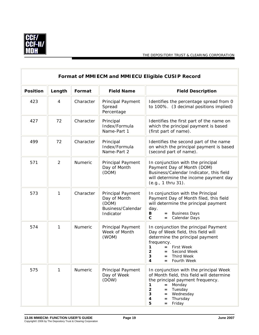

I

|                 | Format of MMIECM and MMIECU Eligible CUSIP Record |           |                                                                              |                                                                                                                                                                                                                                                      |  |
|-----------------|---------------------------------------------------|-----------|------------------------------------------------------------------------------|------------------------------------------------------------------------------------------------------------------------------------------------------------------------------------------------------------------------------------------------------|--|
| <b>Position</b> | Length                                            | Format    | <b>Field Name</b>                                                            | <b>Field Description</b>                                                                                                                                                                                                                             |  |
| 423             | $\overline{4}$                                    | Character | Principal Payment<br>Spread<br>Percentage                                    | Identifies the percentage spread from 0<br>to 100%. (3 decimal positions implied)                                                                                                                                                                    |  |
| 427             | 72                                                | Character | Principal<br>Index/Formula<br>Name-Part 1                                    | Identifies the first part of the name on<br>which the principal payment is based<br>(first part of name).                                                                                                                                            |  |
| 499             | 72                                                | Character | Principal<br>Index/Formula<br>Name-Part 2                                    | Identifies the second part of the name<br>on which the principal payment is based<br>(second part of name).                                                                                                                                          |  |
| 571             | 2                                                 | Numeric   | Principal Payment<br>Day of Month<br>(DOM)                                   | In conjunction with the principal<br>Payment Day of Month (DOM)<br>Business/Calendar Indicator, this field<br>will determine the income payment day<br>(e.g., 1 thru 31).                                                                            |  |
| 573             | 1                                                 | Character | Principal Payment<br>Day of Month<br>(DOM)<br>Business/Calendar<br>Indicator | In conjunction with the Principal<br>Payment Day of Month filed, this field<br>will determine the principal payment<br>day.<br><b>Business Days</b><br>В<br>$=$<br>$\mathbf{c}$<br>Calendar Days<br>$=$ $-$                                          |  |
| 574             | $\mathbf{1}$                                      | Numeric   | Principal Payment<br>Week of Month<br>(WOM)                                  | In conjunction the principal Payment<br>Day of Week field, this field will<br>determine the principal payment<br>frequency.<br>$=$ First Week<br>1<br>$\overline{2}$<br>Second Week<br>$=$<br>3<br><b>Third Week</b><br>=<br>4<br>Fourth Week<br>$=$ |  |
| 575             | 1                                                 | Numeric   | <b>Principal Payment</b><br>Day of Week<br>(DOW)                             | In conjunction with the principal Week<br>of Month field, this field will determine<br>the principal payment frequency.<br>Monday<br>1<br>$=$<br>2<br>Tuesday<br>$=$<br>Wednesday<br>3<br>$=$<br>Thursday<br>4<br>$=$<br>5<br>Friday<br>$=$          |  |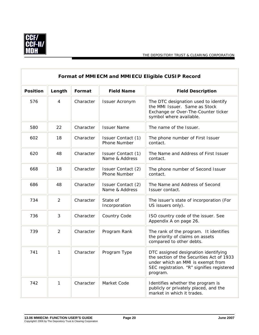

 $\overline{a}$ 

|                 | Format of MMIECM and MMIECU Eligible CUSIP Record |           |                                      |                                                                                                                                                                                  |  |
|-----------------|---------------------------------------------------|-----------|--------------------------------------|----------------------------------------------------------------------------------------------------------------------------------------------------------------------------------|--|
| <b>Position</b> | Length                                            | Format    | <b>Field Name</b>                    | <b>Field Description</b>                                                                                                                                                         |  |
| 576             | $\overline{4}$                                    | Character | <b>Issuer Acronym</b>                | The DTC designation used to identify<br>the MMI Issuer. Same as Stock<br>Exchange or Over-The-Counter ticker<br>symbol where available.                                          |  |
| 580             | 22                                                | Character | <b>Issuer Name</b>                   | The name of the Issuer.                                                                                                                                                          |  |
| 602             | 18                                                | Character | Issuer Contact (1)<br>Phone Number   | The phone number of First Issuer<br>contact.                                                                                                                                     |  |
| 620             | 48                                                | Character | Issuer Contact (1)<br>Name & Address | The Name and Address of First Issuer<br>contact.                                                                                                                                 |  |
| 668             | 18                                                | Character | Issuer Contact (2)<br>Phone Number   | The phone number of Second Issuer<br>contact.                                                                                                                                    |  |
| 686             | 48                                                | Character | Issuer Contact (2)<br>Name & Address | The Name and Address of Second<br>Issuer contact.                                                                                                                                |  |
| 734             | $\overline{2}$                                    | Character | State of<br>Incorporation            | The issuer's state of incorporation (For<br>US issuers only).                                                                                                                    |  |
| 736             | 3                                                 | Character | Country Code                         | ISO country code of the issuer. See<br>Appendix A on page 26.                                                                                                                    |  |
| 739             | 2                                                 | Character | Program Rank                         | The rank of the program. It identifies<br>the priority of claims on assets<br>compared to other debts.                                                                           |  |
| 741             | $\mathbf{1}$                                      | Character | Program Type                         | DTC assigned designation identifying<br>the section of the Securities Act of 1933<br>under which an MMI is exempt from<br>SEC registration. "R" signifies registered<br>program. |  |
| 742             | 1                                                 | Character | Market Code                          | Identifies whether the program is<br>publicly or privately placed, and the<br>market in which it trades.                                                                         |  |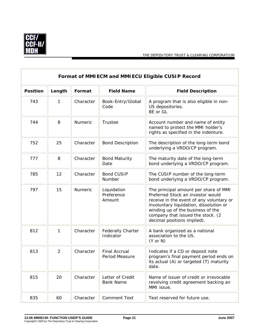

 $\overline{\mathbf{u}}$ 

|                 | Format of MMIECM and MMIECU Eligible CUSIP Record |           |                                        |                                                                                                                                                                                                                                                                            |  |
|-----------------|---------------------------------------------------|-----------|----------------------------------------|----------------------------------------------------------------------------------------------------------------------------------------------------------------------------------------------------------------------------------------------------------------------------|--|
| <b>Position</b> | Length                                            | Format    | <b>Field Name</b>                      | <b>Field Description</b>                                                                                                                                                                                                                                                   |  |
| 743             | 1                                                 | Character | Book-Entry/Global<br>Code              | A program that is also eligible in non-<br>US depositories.<br>BE or GL                                                                                                                                                                                                    |  |
| 744             | 8                                                 | Numeric   | Trustee                                | Account number and name of entity<br>named to protect the MMI holder's<br>rights as specified in the indenture.                                                                                                                                                            |  |
| 752             | 25                                                | Character | <b>Bond Description</b>                | The description of the long-term bond<br>underlying a VRDO/CP program.                                                                                                                                                                                                     |  |
| 777             | 8                                                 | Character | <b>Bond Maturity</b><br>Date           | The maturity date of the long-term<br>bond underlying a VRDO/CP program.                                                                                                                                                                                                   |  |
| 785             | 12                                                | Character | <b>Bond CUSIP</b><br>Number            | The CUSIP number of the long-term<br>bond underlying a VRDO/CP program.                                                                                                                                                                                                    |  |
| 797             | 15                                                | Numeric   | Liquidation<br>Preference<br>Amount    | The principal amount per share of MMI<br>Preferred Stock an investor would<br>receive in the event of any voluntary or<br>involuntary liquidation, dissolution or<br>winding up of the business of the<br>company that issued the stock. (2<br>decimal positions implied). |  |
| 812             | $\mathbf{1}$                                      | Character | <b>Federally Charter</b><br>Indicator  | A bank organized as a national<br>association to the US.<br>$(Y \text{ or } N)$                                                                                                                                                                                            |  |
| 813             | $\overline{2}$                                    | Character | <b>Final Accrual</b><br>Period Measure | Indicates if a CD or deposit note<br>program's final payment period ends on<br>its actual (A) or targeted (T) maturity<br>date.                                                                                                                                            |  |
| 815             | 20                                                | Character | Letter of Credit<br><b>Bank Name</b>   | Name of issuer of credit or irrevocable<br>revolving credit agreement backing an<br>MMI issue.                                                                                                                                                                             |  |
| 835             | 60                                                | Character | <b>Comment Text</b>                    | Text reserved for future use.                                                                                                                                                                                                                                              |  |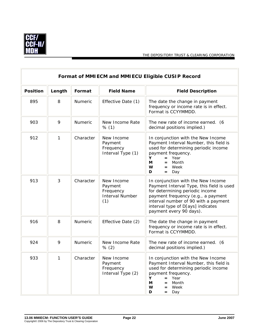

 $\overline{\mathbb{F}}$ 

| Format of MMIECM and MMIECU Eligible CUSIP Record |        |           |                                                                     |                                                                                                                                                                                                                                                                  |
|---------------------------------------------------|--------|-----------|---------------------------------------------------------------------|------------------------------------------------------------------------------------------------------------------------------------------------------------------------------------------------------------------------------------------------------------------|
| <b>Position</b>                                   | Length | Format    | <b>Field Name</b>                                                   | <b>Field Description</b>                                                                                                                                                                                                                                         |
| 895                                               | 8      | Numeric   | Effective Date (1)                                                  | The date the change in payment<br>frequency or income rate is in effect.<br>Format is CCYYMMDD.                                                                                                                                                                  |
| 903                                               | 9      | Numeric   | New Income Rate<br>% (1)                                            | The new rate of income earned. (6<br>decimal positions implied.)                                                                                                                                                                                                 |
| 912                                               | 1      | Character | New Income<br>Payment<br>Frequency<br>Interval Type (1)             | In conjunction with the New Income<br>Payment Interval Number, this field is<br>used for determining periodic income<br>payment frequency.<br>Υ<br>Year<br>$=$<br>Month<br>М<br>$=$<br>W<br>$=$ Week<br>D<br>Day<br>$=$                                          |
| 913                                               | 3      | Character | New Income<br>Payment<br>Frequency<br><b>Interval Number</b><br>(1) | In conjunction with the New Income<br>Payment Interval Type, this field is used<br>for determining periodic income<br>payment frequency (e.g., a payment<br>interval number of 90 with a payment<br>interval type of D[ays] indicates<br>payment every 90 days). |
| 916                                               | 8      | Numeric   | Effective Date (2)                                                  | The date the change in payment<br>frequency or income rate is in effect.<br>Format is CCYYMMDD.                                                                                                                                                                  |
| 924                                               | 9      | Numeric   | New Income Rate<br>% (2)                                            | The new rate of income earned. (6<br>decimal positions implied.)                                                                                                                                                                                                 |
| 933                                               | 1      | Character | New Income<br>Payment<br>Frequency<br>Interval Type (2)             | In conjunction with the New Income<br>Payment Interval Number, this field is<br>used for determining periodic income<br>payment frequency.<br>Year<br>Y<br>$=$<br>Month<br>M<br>$=$<br>W<br>Week<br>$=$<br>D<br>= Day                                            |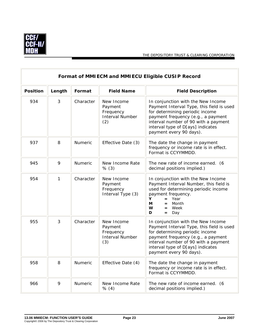

 $\overline{1}$ 

|                 | Format of MMIECM and MMIECU Eligible CUSIP Record |           |                                                                     |                                                                                                                                                                                                                                                                  |  |
|-----------------|---------------------------------------------------|-----------|---------------------------------------------------------------------|------------------------------------------------------------------------------------------------------------------------------------------------------------------------------------------------------------------------------------------------------------------|--|
| <b>Position</b> | Length                                            | Format    | <b>Field Name</b>                                                   | <b>Field Description</b>                                                                                                                                                                                                                                         |  |
| 934             | 3                                                 | Character | New Income<br>Payment<br>Frequency<br><b>Interval Number</b><br>(2) | In conjunction with the New Income<br>Payment Interval Type, this field is used<br>for determining periodic income<br>payment frequency (e.g., a payment<br>interval number of 90 with a payment<br>interval type of D[ays] indicates<br>payment every 90 days). |  |
| 937             | 8                                                 | Numeric   | Effective Date (3)                                                  | The date the change in payment<br>frequency or income rate is in effect.<br>Format is CCYYMMDD.                                                                                                                                                                  |  |
| 945             | 9                                                 | Numeric   | New Income Rate<br>% (3)                                            | The new rate of income earned. (6<br>decimal positions implied.)                                                                                                                                                                                                 |  |
| 954             | 1                                                 | Character | New Income<br>Payment<br>Frequency<br>Interval Type (3)             | In conjunction with the New Income<br>Payment Interval Number, this field is<br>used for determining periodic income<br>payment frequency.<br>Y<br>$=$ Year<br>М<br>Month<br>$=$<br>W<br>Week<br>$=$<br>D<br>Day<br>$=$                                          |  |
| 955             | 3                                                 | Character | New Income<br>Payment<br>Frequency<br><b>Interval Number</b><br>(3) | In conjunction with the New Income<br>Payment Interval Type, this field is used<br>for determining periodic income<br>payment frequency (e.g., a payment<br>interval number of 90 with a payment<br>interval type of D[ays] indicates<br>payment every 90 days). |  |
| 958             | 8                                                 | Numeric   | Effective Date (4)                                                  | The date the change in payment<br>frequency or income rate is in effect.<br>Format is CCYYMMDD.                                                                                                                                                                  |  |
| 966             | 9                                                 | Numeric   | New Income Rate<br>% (4)                                            | The new rate of income earned. (6<br>decimal positions implied.)                                                                                                                                                                                                 |  |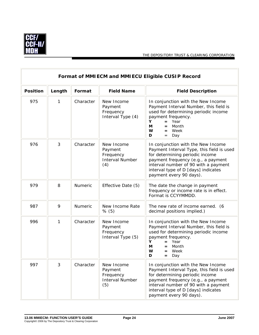

 $\overline{r}$ 

 $\overline{a}$ 

|                 | Format of MMIECM and MMIECU Eligible CUSIP Record |           |                                                                     |                                                                                                                                                                                                                                                                    |  |  |
|-----------------|---------------------------------------------------|-----------|---------------------------------------------------------------------|--------------------------------------------------------------------------------------------------------------------------------------------------------------------------------------------------------------------------------------------------------------------|--|--|
| <b>Position</b> | Length                                            | Format    | <b>Field Name</b>                                                   | <b>Field Description</b>                                                                                                                                                                                                                                           |  |  |
| 975             | 1                                                 | Character | New Income<br>Payment<br>Frequency<br>Interval Type (4)             | In conjunction with the New Income<br>Payment Interval Number, this field is<br>used for determining periodic income<br>payment frequency.<br>Year<br>Y<br>$=$<br>Month<br>М<br>$=$<br>W<br>$=$ Week<br>D<br>Day<br>$=$                                            |  |  |
| 976             | 3                                                 | Character | New Income<br>Payment<br>Frequency<br><b>Interval Number</b><br>(4) | In conjunction with the New Income<br>Payment Interval Type, this field is used<br>for determining periodic income<br>payment frequency (e.g., a payment<br>interval number of 90 with a payment<br>interval type of D [days] indicates<br>payment every 90 days). |  |  |
| 979             | 8                                                 | Numeric   | Effective Date (5)                                                  | The date the change in payment<br>frequency or income rate is in effect.<br>Format is CCYYMMDD.                                                                                                                                                                    |  |  |
| 987             | 9                                                 | Numeric   | New Income Rate<br>% (5)                                            | The new rate of income earned. (6<br>decimal positions implied.)                                                                                                                                                                                                   |  |  |
| 996             | 1                                                 | Character | New Income<br>Payment<br>Frequency<br>Interval Type (5)             | In conjunction with the New Income<br>Payment Interval Number, this field is<br>used for determining periodic income<br>payment frequency.<br>Y.<br>Year<br>$=$<br>М<br>Month<br>$=$<br>w<br>Week<br>$=$<br>D<br>Day<br>$=$                                        |  |  |
| 997             | 3                                                 | Character | New Income<br>Payment<br>Frequency<br><b>Interval Number</b><br>(5) | In conjunction with the New Income<br>Payment Interval Type, this field is used<br>for determining periodic income<br>payment frequency (e.g., a payment<br>interval number of 90 with a payment<br>interval type of D [days] indicates<br>payment every 90 days). |  |  |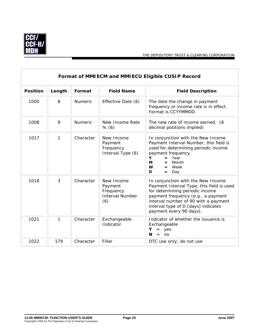

 $\sqrt{2}$ 

| Format of MMIECM and MMIECU Eligible CUSIP Record |        |                |                                                                     |                                                                                                                                                                                                                                                                    |  |
|---------------------------------------------------|--------|----------------|---------------------------------------------------------------------|--------------------------------------------------------------------------------------------------------------------------------------------------------------------------------------------------------------------------------------------------------------------|--|
| <b>Position</b>                                   | Length | Format         | <b>Field Name</b>                                                   | <b>Field Description</b>                                                                                                                                                                                                                                           |  |
| 1000                                              | 8      | Numeric        | Effective Date (6)                                                  | The date the change in payment<br>frequency or income rate is in effect.<br>Format is CCYYMMDD.                                                                                                                                                                    |  |
| 1008                                              | 9      | <b>Numeric</b> | New Income Rate<br>% (6)                                            | The new rate of income earned. (6<br>decimal positions implied)                                                                                                                                                                                                    |  |
| 1017                                              | 1      | Character      | New Income<br>Payment<br>Frequency<br>Interval Type (6)             | In conjunction with the New Income<br>Payment Interval Number, this field is<br>used for determining periodic income<br>payment frequency.<br>Year<br>Y<br>М<br>Month<br>$=$<br>W<br>Week<br>$=$<br>D<br>Day<br>$=$                                                |  |
| 1018                                              | 3      | Character      | New Income<br>Payment<br>Frequency<br><b>Interval Number</b><br>(6) | In conjunction with the New Income<br>Payment Interval Type, this field is used<br>for determining periodic income<br>payment frequency (e.g., a payment<br>interval number of 90 with a payment<br>interval type of D [days] indicates<br>payment every 90 days). |  |
| 1021                                              | 1      | Character      | Exchangeable<br>Indicator                                           | Indicator of whether the issuance is<br>Exchangeable<br>Υ<br>$=$ yes<br>N<br>no<br>$=$                                                                                                                                                                             |  |
| 1022                                              | 179    | Character      | Filler                                                              | DTC use only; do not use                                                                                                                                                                                                                                           |  |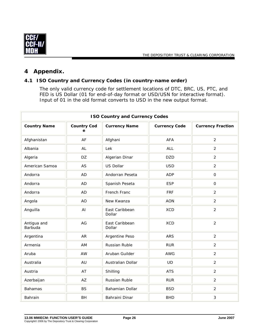<span id="page-29-0"></span>

## <span id="page-29-1"></span>**4 Appendix.**

### **4.1 ISO Country and Currency Codes (in country-name order)**

The only valid currency code for settlement locations of DTC, BRC, US, PTC, and FED is US Dollar (01 for end-of-day format or USD/USN for interactive format). Input of 01 in the old format converts to USD in the new output format.

| <b>ISO Country and Currency Codes</b> |                         |                          |                      |                          |
|---------------------------------------|-------------------------|--------------------------|----------------------|--------------------------|
| <b>Country Name</b>                   | <b>Country Cod</b><br>e | <b>Currency Name</b>     | <b>Currency Code</b> | <b>Currency Fraction</b> |
| Afghanistan                           | AF                      | Afghani                  | <b>AFA</b>           | $\overline{2}$           |
| Albania                               | AL                      | Lek                      | ALL                  | $\overline{2}$           |
| Algeria                               | DZ                      | Algerian Dinar           | <b>DZD</b>           | $\overline{2}$           |
| American Samoa                        | AS                      | <b>US Dollar</b>         | <b>USD</b>           | $\overline{2}$           |
| Andorra                               | <b>AD</b>               | Andorran Peseta          | <b>ADP</b>           | $\mathsf{O}\xspace$      |
| Andorra                               | <b>AD</b>               | Spanish Peseta           | <b>ESP</b>           | $\overline{0}$           |
| Andorra                               | <b>AD</b>               | French Franc             | <b>FRF</b>           | 2                        |
| Angola                                | <b>AO</b>               | New Kwanza               | <b>AON</b>           | $\overline{2}$           |
| Anguilla                              | AI                      | East Caribbean<br>Dollar | <b>XCD</b>           | $\overline{2}$           |
| Antigua and<br>Barbuda                | AG                      | East Caribbean<br>Dollar | <b>XCD</b>           | $\overline{2}$           |
| Argentina                             | <b>AR</b>               | Argentine Peso           | <b>ARS</b>           | $\overline{2}$           |
| Armenia                               | AM                      | Russian Ruble            | <b>RUR</b>           | $\overline{2}$           |
| Aruba                                 | AW                      | Aruban Guilder           | <b>AWG</b>           | $\overline{2}$           |
| Australia                             | AU                      | Australian Dollar        | <b>UD</b>            | $\overline{2}$           |
| Austria                               | AT                      | Shilling                 | <b>ATS</b>           | $\overline{2}$           |
| Azerbaijan                            | AZ                      | Russian Ruble            | <b>RUR</b>           | $\overline{2}$           |
| <b>Bahamas</b>                        | <b>BS</b>               | Bahamian Dollar          | <b>BSD</b>           | $\overline{2}$           |
| Bahrain                               | <b>BH</b>               | Bahraini Dinar           | <b>BHD</b>           | 3                        |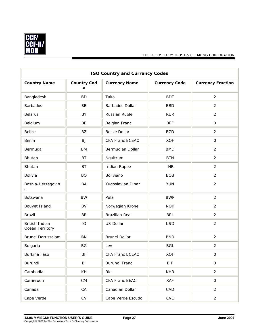

| <b>ISO Country and Currency Codes</b> |                         |                        |                      |                          |
|---------------------------------------|-------------------------|------------------------|----------------------|--------------------------|
| <b>Country Name</b>                   | <b>Country Cod</b><br>e | <b>Currency Name</b>   | <b>Currency Code</b> | <b>Currency Fraction</b> |
| Bangladesh                            | <b>BD</b>               | Taka                   | <b>BDT</b>           | $\overline{2}$           |
| <b>Barbados</b>                       | <b>BB</b>               | <b>Barbados Dollar</b> | <b>BBD</b>           | $\overline{2}$           |
| <b>Belarus</b>                        | BY                      | Russian Ruble          | <b>RUR</b>           | $\overline{2}$           |
| Belgium                               | BE                      | Belgian Franc          | <b>BEF</b>           | $\mathsf O$              |
| <b>Belize</b>                         | BZ                      | <b>Belize Dollar</b>   | <b>BZD</b>           | $\overline{2}$           |
| Benin                                 | <b>BJ</b>               | CFA Franc BCEAO        | <b>XOF</b>           | $\mathsf{O}$             |
| Bermuda                               | <b>BM</b>               | Bermudian Dollar       | <b>BMD</b>           | 2                        |
| Bhutan                                | <b>BT</b>               | Ngultrum               | <b>BTN</b>           | $\overline{2}$           |
| Bhutan                                | BT                      | Indian Rupee           | <b>INR</b>           | $\overline{2}$           |
| Bolivia                               | <b>BO</b>               | Boliviano              | <b>BOB</b>           | 2                        |
| Bosnia-Herzegovin<br>a                | BA                      | Yugoslavian Dinar      | <b>YUN</b>           | $\overline{2}$           |
| Botswana                              | <b>BW</b>               | Pula                   | <b>BWP</b>           | $\overline{2}$           |
| Bouvet Island                         | <b>BV</b>               | Norwegian Krone        | <b>NOK</b>           | $\overline{2}$           |
| Brazil                                | <b>BR</b>               | <b>Brazilian Real</b>  | <b>BRL</b>           | $\overline{2}$           |
| British Indian<br>Ocean Territory     | IO                      | US Dollar              | <b>USD</b>           | $\overline{2}$           |
| Brunei Darussalam                     | <b>BN</b>               | Brunei Dollar          | <b>BND</b>           | $\overline{2}$           |
| Bulgaria                              | BG                      | Lev                    | <b>BGL</b>           | $\overline{2}$           |
| <b>Burkina Faso</b>                   | <b>BF</b>               | CFA Franc BCEAO        | <b>XOF</b>           | $\mathsf{O}\xspace$      |
| Burundi                               | BI                      | <b>Burundi Franc</b>   | <b>BIF</b>           | $\mathsf O$              |
| Cambodia                              | KH                      | Riel                   | <b>KHR</b>           | $\overline{2}$           |
| Cameroon                              | CM                      | CFA Franc BEAC         | XAF                  | $\mathsf O$              |
| Canada                                | CA                      | Canadian Dollar        | CAD                  | $\overline{2}$           |
| Cape Verde                            | ${\sf CV}$              | Cape Verde Escudo      | CVE                  | $\overline{2}$           |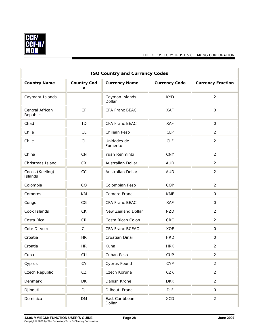

| <b>ISO Country and Currency Codes</b> |                         |                          |                      |                          |
|---------------------------------------|-------------------------|--------------------------|----------------------|--------------------------|
| <b>Country Name</b>                   | <b>Country Cod</b><br>е | <b>Currency Name</b>     | <b>Currency Code</b> | <b>Currency Fraction</b> |
| Cayman\ Islands                       |                         | Cayman Islands<br>Dollar | <b>KYD</b>           | $\overline{2}$           |
| Central African<br>Republic           | CF                      | CFA Franc BEAC           | <b>XAF</b>           | $\mathsf{O}\xspace$      |
| Chad                                  | <b>TD</b>               | <b>CFA Franc BEAC</b>    | <b>XAF</b>           | $\mathsf{O}$             |
| Chile                                 | CL                      | Chilean Peso             | <b>CLP</b>           | 2                        |
| Chile                                 | CL                      | Unidades de<br>Fomento   | <b>CLF</b>           | $\overline{2}$           |
| China                                 | CN                      | Yuan Renminbi            | <b>CNY</b>           | $\overline{2}$           |
| Christmas Island                      | CX                      | Australian Dollar        | <b>AUD</b>           | $\overline{2}$           |
| Cocos (Keeling)<br>Islands            | CC                      | Australian Dollar        | <b>AUD</b>           | $\overline{2}$           |
| Colombia                              | CO                      | Colombian Peso           | COP                  | $\overline{2}$           |
| Comoros                               | KM                      | Comoro Franc             | <b>KMF</b>           | $\mathsf O$              |
| Congo                                 | CG                      | CFA Franc BEAC           | <b>XAF</b>           | $\mathbf 0$              |
| Cook Islands                          | CK                      | New Zealand Dollar       | <b>NZD</b>           | $\overline{2}$           |
| Costa Rica                            | CR                      | Costa Rican Colon        | CRC                  | $\overline{2}$           |
| Cote D'Ivoire                         | CI                      | CFA Franc BCEAO          | <b>XOF</b>           | $\mathsf O$              |
| Croatia                               | <b>HR</b>               | Croatian Dinar           | <b>HRD</b>           | $\mathsf O$              |
| Croatia                               | <b>HR</b>               | Kuna                     | <b>HRK</b>           | $\overline{2}$           |
| Cuba                                  | CU                      | Cuban Peso               | <b>CUP</b>           | $\overline{2}$           |
| Cyprus                                | CY                      | Cyprus Pound             | <b>CYP</b>           | $\overline{2}$           |
| Czech Republic                        | CZ                      | Czech Koruna             | CZK                  | $\overline{2}$           |
| Denmark                               | DK                      | Danish Krone             | <b>DKK</b>           | $\overline{2}$           |
| Djibouti                              | DJ                      | Djibouti Franc           | <b>DJF</b>           | $\mathsf O$              |
| Dominica                              | <b>DM</b>               | East Caribbean<br>Dollar | XCD                  | $\overline{2}$           |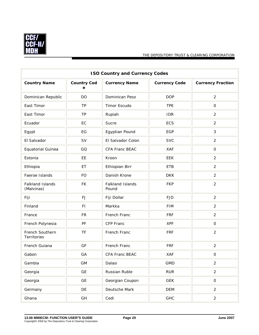

| <b>ISO Country and Currency Codes</b> |                         |                           |                      |                          |
|---------------------------------------|-------------------------|---------------------------|----------------------|--------------------------|
| <b>Country Name</b>                   | <b>Country Cod</b><br>е | <b>Currency Name</b>      | <b>Currency Code</b> | <b>Currency Fraction</b> |
| Dominican Republic                    | DO                      | Dominican Peso            | <b>DOP</b>           | 2                        |
| East Timor                            | <b>TP</b>               | Timor Escudo              | <b>TPE</b>           | $\mathsf O$              |
| East Timor                            | <b>TP</b>               | Rupiah                    | <b>IDR</b>           | $\overline{2}$           |
| Ecuador                               | EC                      | Sucre                     | ECS                  | $\overline{2}$           |
| Egypt                                 | EG                      | Egyptian Pound            | <b>EGP</b>           | 3                        |
| El Salvador                           | SV                      | El Salvador Colon         | <b>SVC</b>           | 2                        |
| Equatorial Guinea                     | GQ                      | CFA Franc BEAC            | <b>XAF</b>           | $\mathsf{O}$             |
| Estonia                               | EE                      | Kroon                     | EEK                  | $\overline{2}$           |
| Ethiopia                              | ET                      | Ethiopian Birr            | <b>ETB</b>           | $\overline{2}$           |
| Faeroe Islands                        | <b>FO</b>               | Danish Krone              | <b>DKK</b>           | $\overline{2}$           |
| Falkland Islands<br>(Malvinas)        | <b>FK</b>               | Falkland Islands<br>Pound | <b>FKP</b>           | $\overline{2}$           |
| Fiji                                  | FJ                      | Fiji Dollar               | <b>FJD</b>           | $\overline{2}$           |
| Finland                               | F1                      | Markka                    | <b>FIM</b>           | $\overline{2}$           |
| France                                | <b>FR</b>               | French Franc              | <b>FRF</b>           | $\overline{2}$           |
| French Polynesia                      | PF                      | CFP Franc                 | <b>XPF</b>           | $\mathbf 0$              |
| French Southern<br>Territories        | TF                      | French Franc              | <b>FRF</b>           | $\overline{2}$           |
| French Guiana                         | GF                      | French Franc              | <b>FRF</b>           | $\overline{2}$           |
| Gabon                                 | GA                      | CFA Franc BEAC            | XAF                  | $\mbox{O}$               |
| Gambia                                | GM                      | Dalasi                    | <b>GMD</b>           | $\overline{2}$           |
| Georgia                               | <b>GE</b>               | Russian Ruble             | <b>RUR</b>           | $\overline{2}$           |
| Georgia                               | GE                      | Georgian Coupon           | <b>GEK</b>           | $\mathsf O$              |
| Germany                               | DE                      | Deutsche Mark             | <b>DEM</b>           | $\overline{a}$           |
| Ghana                                 | GH                      | Cedi                      | GHC                  | $\overline{2}$           |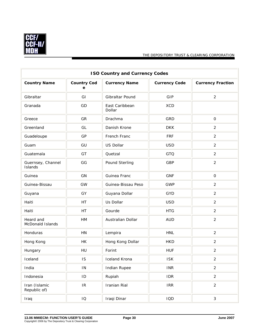

| <b>ISO Country and Currency Codes</b> |                                   |                          |                      |                          |
|---------------------------------------|-----------------------------------|--------------------------|----------------------|--------------------------|
| <b>Country Name</b>                   | <b>Country Cod</b><br>е           | <b>Currency Name</b>     | <b>Currency Code</b> | <b>Currency Fraction</b> |
| Gibraltar                             | GI                                | Gibraltar Pound          | GIP                  | $\overline{2}$           |
| Granada                               | GD                                | East Caribbean<br>Dollar | <b>XCD</b>           |                          |
| Greece                                | GR                                | Drachma                  | GRD                  | $\mathbf 0$              |
| Greenland                             | GL                                | Danish Krone             | <b>DKK</b>           | 2                        |
| Guadeloupe                            | GP                                | French Franc             | <b>FRF</b>           | $\overline{2}$           |
| Guam                                  | GU                                | <b>US Dollar</b>         | <b>USD</b>           | $\overline{2}$           |
| Guatemala                             | GT                                | Quetzal                  | GTQ                  | 2                        |
| Guernsey, Channel<br>Islands          | GG                                | Pound Sterling           | <b>GBP</b>           | $\overline{2}$           |
| Guinea                                | GN                                | Guinea Franc             | <b>GNF</b>           | $\mathsf{O}$             |
| Guinea-Bissau                         | GW                                | Guinea-Bissau Peso       | <b>GWP</b>           | $\overline{2}$           |
| Guyana                                | GY                                | Guyana Dollar            | <b>GYD</b>           | $\overline{2}$           |
| Haiti                                 | HT                                | Us Dollar                | <b>USD</b>           | $\overline{2}$           |
| Haiti                                 | HT                                | Gourde                   | <b>HTG</b>           | $\overline{2}$           |
| Heard and<br>McDonald Islands         | HM                                | Australian Dollar        | <b>AUD</b>           | $\overline{2}$           |
| Honduras                              | HN                                | Lempira                  | <b>HNL</b>           | $\overline{2}$           |
| Hong Kong                             | HK                                | Hong Kong Dollar         | <b>HKD</b>           | $\overline{2}$           |
| Hungary                               | HU                                | Forint                   | <b>HUF</b>           | $\overline{2}$           |
| Iceland                               | IS                                | Iceland Krona            | <b>ISK</b>           | $\overline{2}$           |
| India                                 | $\mathsf{IN}$                     | Indian Rupee             | <b>INR</b>           | $\overline{c}$           |
| Indonesia                             | ID                                | Rupiah                   | <b>IDR</b>           | $\overline{2}$           |
| Iran (Islamic<br>Republic of)         | $\ensuremath{\mathsf{IR}}\xspace$ | Iranian Rial             | <b>IRR</b>           | $\overline{2}$           |
| Iraq                                  | IO                                | Iraqi Dinar              | IQD                  | $\sqrt{3}$               |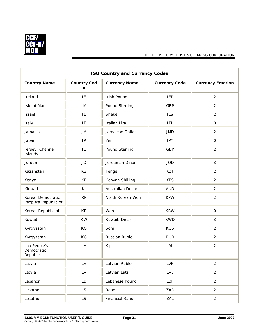

| <b>ISO Country and Currency Codes</b>     |                         |                       |                      |                          |
|-------------------------------------------|-------------------------|-----------------------|----------------------|--------------------------|
| <b>Country Name</b>                       | <b>Country Cod</b><br>e | <b>Currency Name</b>  | <b>Currency Code</b> | <b>Currency Fraction</b> |
| Ireland                                   | IE                      | Irish Pound           | <b>IEP</b>           | $\overline{2}$           |
| Isle of Man                               | IM                      | Pound Sterling        | GBP                  | $\overline{2}$           |
| Israel                                    | IL                      | Shekel                | <b>ILS</b>           | $\overline{2}$           |
| Italy                                     | IT                      | Italian Lira          | <b>ITL</b>           | $\mathsf O$              |
| Jamaica                                   | <b>JM</b>               | Jamaican Dollar       | <b>JMD</b>           | $\overline{2}$           |
| Japan                                     | $\mathsf{JP}$           | Yen                   | <b>JPY</b>           | $\mathsf{O}$             |
| Jersey, Channel<br>Islands                | JE                      | Pound Sterling        | <b>GBP</b>           | 2                        |
| Jordan                                    | <b>JO</b>               | Jordanian Dinar       | <b>JOD</b>           | 3                        |
| Kazahstan                                 | KZ                      | Tenge                 | <b>KZT</b>           | $\overline{2}$           |
| Kenya                                     | KE                      | Kenyan Shilling       | <b>KES</b>           | $\overline{2}$           |
| Kiribati                                  | KI                      | Australian Dollar     | <b>AUD</b>           | $\overline{2}$           |
| Korea, Democratic<br>People's Republic of | <b>KP</b>               | North Korean Won      | <b>KPW</b>           | $\overline{2}$           |
| Korea, Republic of                        | KR                      | Won                   | <b>KRW</b>           | $\mathsf O$              |
| Kuwait                                    | <b>KW</b>               | Kuwaiti Dinar         | <b>KWD</b>           | 3                        |
| Kyrgyzstan                                | KG                      | Som                   | <b>KGS</b>           | $\overline{2}$           |
| Kyrgyzstan                                | KG                      | Russian Ruble         | <b>RUR</b>           | $\overline{2}$           |
| Lao People's<br>Democratic<br>Republic    | LA                      | Kip                   | <b>LAK</b>           | $\overline{2}$           |
| Latvia                                    | LV                      | Latvian Ruble         | <b>LVR</b>           | $\overline{2}$           |
| Latvia                                    | LV                      | Latvian Lats          | <b>LVL</b>           | $\overline{2}$           |
| Lebanon                                   | LB                      | Lebanese Pound        | LBP                  | $\overline{2}$           |
| Lesotho                                   | <b>LS</b>               | Rand                  | ZAR                  | $\overline{2}$           |
| Lesotho                                   | <b>LS</b>               | <b>Financial Rand</b> | ZAL                  | $\overline{2}$           |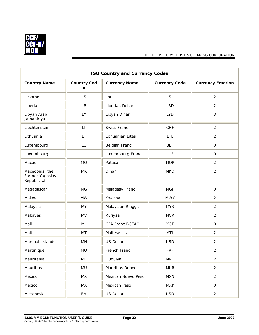

| <b>ISO Country and Currency Codes</b>            |                         |                      |                      |                          |
|--------------------------------------------------|-------------------------|----------------------|----------------------|--------------------------|
| <b>Country Name</b>                              | <b>Country Cod</b><br>е | <b>Currency Name</b> | <b>Currency Code</b> | <b>Currency Fraction</b> |
| Lesotho                                          | LS                      | Loti                 | <b>LSL</b>           | 2                        |
| Liberia                                          | <b>LR</b>               | Liberian Dollar      | <b>LRD</b>           | 2                        |
| Libyan Arab<br>Jamahiriya                        | LY                      | Libyan Dinar         | <b>LYD</b>           | 3                        |
| Liechtenstein                                    | LI                      | Swiss Franc          | CHF                  | 2                        |
| Lithuania                                        | <b>LT</b>               | Lithuanian Litas     | LTL                  | $\overline{2}$           |
| Luxembourg                                       | LU                      | Belgian Franc        | <b>BEF</b>           | $\mathsf{O}$             |
| Luxembourg                                       | LU                      | Luxembourg Franc     | LUF                  | $\mathsf O$              |
| Macau                                            | <b>MO</b>               | Pataca               | <b>MOP</b>           | $\overline{2}$           |
| Macedonia, the<br>Former Yugoslav<br>Republic of | <b>MK</b>               | Dinar                | <b>MKD</b>           | $\overline{2}$           |
| Madagascar                                       | <b>MG</b>               | Malagasy Franc       | <b>MGF</b>           | $\mathsf O$              |
| Malawi                                           | <b>MW</b>               | Kwacha               | <b>MWK</b>           | $\overline{2}$           |
| Malaysia                                         | <b>MY</b>               | Malaysian Ringgit    | <b>MYR</b>           | $\overline{2}$           |
| Maldives                                         | <b>MV</b>               | Rufiyaa              | <b>MVR</b>           | 2                        |
| Mali                                             | ML                      | CFA Franc BCEAO      | <b>XOF</b>           | $\mathsf{O}$             |
| Malta                                            | <b>MT</b>               | Maltese Lira         | <b>MTL</b>           | $\overline{2}$           |
| Marshall Islands                                 | MH                      | <b>US Dollar</b>     | <b>USD</b>           | 2                        |
| Martinique                                       | <b>MQ</b>               | French Franc         | <b>FRF</b>           | $\overline{2}$           |
| Mauritania                                       | <b>MR</b>               | Ouguiya              | <b>MRO</b>           | $\overline{c}$           |
| Mauritius                                        | MU                      | Mauritius Rupee      | <b>MUR</b>           | $\overline{2}$           |
| Mexico                                           | MX                      | Mexican Nuevo Peso   | <b>MXN</b>           | $\overline{2}$           |
| Mexico                                           | MX                      | Mexican Peso         | <b>MXP</b>           | ${\mathsf O}$            |
| Micronesia                                       | <b>FM</b>               | <b>US Dollar</b>     | <b>USD</b>           | $\overline{2}$           |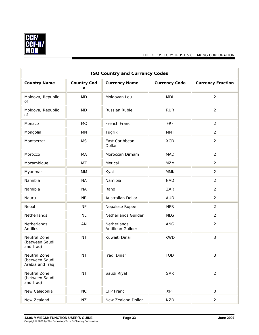

|                                                    |                         | <b>ISO Country and Currency Codes</b> |                      |                          |
|----------------------------------------------------|-------------------------|---------------------------------------|----------------------|--------------------------|
| <b>Country Name</b>                                | <b>Country Cod</b><br>е | <b>Currency Name</b>                  | <b>Currency Code</b> | <b>Currency Fraction</b> |
| Moldova, Republic<br>of                            | <b>MD</b>               | Moldovan Leu                          | <b>MDL</b>           | $\overline{2}$           |
| Moldova, Republic<br>of                            | <b>MD</b>               | Russian Ruble                         | <b>RUR</b>           | $\overline{2}$           |
| Monaco                                             | <b>MC</b>               | French Franc                          | <b>FRF</b>           | $\overline{2}$           |
| Mongolia                                           | ΜN                      | Tugrik                                | <b>MNT</b>           | $\overline{2}$           |
| Montserrat                                         | <b>MS</b>               | East Caribbean<br>Dollar              | <b>XCD</b>           | $\overline{2}$           |
| Morocco                                            | MA                      | Moroccan Dirham                       | <b>MAD</b>           | 2                        |
| Mozambique                                         | MZ                      | Metical                               | <b>MZM</b>           | $\overline{2}$           |
| Myanmar                                            | MM                      | Kyat                                  | <b>MMK</b>           | 2                        |
| Namibia                                            | <b>NA</b>               | Namibia                               | <b>NAD</b>           | 2                        |
| Namibia                                            | <b>NA</b>               | Rand                                  | ZAR                  | $\overline{2}$           |
| Nauru                                              | <b>NR</b>               | Australian Dollar                     | <b>AUD</b>           | $\overline{2}$           |
| Nepal                                              | <b>NP</b>               | Nepalese Rupee                        | <b>NPR</b>           | $\overline{2}$           |
| Netherlands                                        | NL                      | Netherlands Guilder                   | <b>NLG</b>           | $\overline{2}$           |
| Netherlands<br>Antilles                            | AN                      | Netherlands<br>Antillean Guilder      | <b>ANG</b>           | $\overline{2}$           |
| Neutral Zone<br>(between Saudi<br>and Iraq)        | <b>NT</b>               | Kuwaiti Dinar                         | <b>KWD</b>           | $\mathfrak{Z}$           |
| Neutral Zone<br>(between Saudi<br>Arabia and Iraq) | <b>NT</b>               | Iraqi Dinar                           | IQD                  | 3                        |
| Neutral Zone<br>(between Saudi<br>and Iraq)        | <b>NT</b>               | Saudi Riyal                           | <b>SAR</b>           | $\overline{2}$           |
| New Caledonia                                      | NC                      | CFP Franc                             | <b>XPF</b>           | $\mathsf O$              |
| New Zealand                                        | ΝZ                      | New Zealand Dollar                    | <b>NZD</b>           | $\overline{2}$           |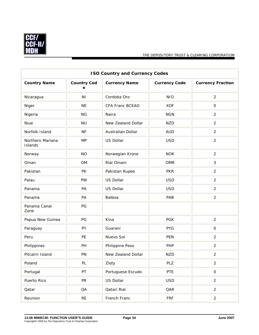

| <b>ISO Country and Currency Codes</b> |                         |                      |                      |                          |
|---------------------------------------|-------------------------|----------------------|----------------------|--------------------------|
| <b>Country Name</b>                   | <b>Country Cod</b><br>e | <b>Currency Name</b> | <b>Currency Code</b> | <b>Currency Fraction</b> |
| Nicaragua                             | N <sub>1</sub>          | Cordoba Oro          | <b>NIO</b>           | $\overline{2}$           |
| Niger                                 | <b>NE</b>               | CFA Franc BCEAO      | <b>XOF</b>           | 0                        |
| Nigeria                               | <b>NG</b>               | Naira                | <b>NGN</b>           | $\overline{2}$           |
| Niue                                  | <b>NU</b>               | New Zealand Dollar   | <b>NZD</b>           | $\overline{2}$           |
| Norfolk Island                        | <b>NF</b>               | Australian Dollar    | <b>AUD</b>           | $\overline{2}$           |
| Northern Mariana<br>Islands           | <b>MP</b>               | US Dollar            | <b>USD</b>           | $\overline{2}$           |
| Norway                                | <b>NO</b>               | Norwegian Krone      | <b>NOK</b>           | $\overline{2}$           |
| Oman                                  | <b>OM</b>               | Rial Omani           | <b>OMR</b>           | 3                        |
| Pakistan                              | PK                      | Pakistan Rupee       | <b>PKR</b>           | $\overline{2}$           |
| Palau                                 | PW                      | US Dollar            | <b>USD</b>           | $\overline{2}$           |
| Panama                                | PA                      | US Dollar            | <b>USD</b>           | $\overline{2}$           |
| Panama                                | PA                      | Balboa               | PAB                  | $\overline{2}$           |
| Panama Canal<br>Zone                  | PG                      |                      |                      |                          |
| Papua New Guinea                      | PG                      | Kina                 | <b>PGK</b>           | $\overline{2}$           |
| Paraguay                              | PY                      | Guarani              | <b>PYG</b>           | 0                        |
| Peru                                  | PE                      | Nuevo Sol            | <b>PEN</b>           | $\overline{2}$           |
| Philippines                           | PH                      | Philippine Peso      | PHP                  | $\overline{2}$           |
| Pitcairn Island                       | PN                      | New Zealand Dollar   | <b>NZD</b>           | $\overline{2}$           |
| Poland                                | PL                      | Zloty                | PLZ                  | $\overline{2}$           |
| Portugal                              | PT                      | Portuguese Escudo    | PTE                  | $\mathsf O$              |
| Puerto Rico                           | PR                      | US Dollar            | <b>USD</b>           | $\overline{2}$           |
| Qatar                                 | QA                      | Qatari Rial          | QAR                  | $\overline{2}$           |
| Reunion                               | $\sf RE$                | French Franc         | <b>FRF</b>           | $\overline{2}$           |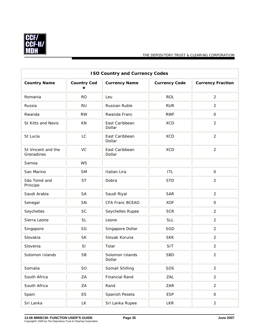

| <b>ISO Country and Currency Codes</b> |                         |                           |                      |                          |
|---------------------------------------|-------------------------|---------------------------|----------------------|--------------------------|
| <b>Country Name</b>                   | <b>Country Cod</b><br>е | <b>Currency Name</b>      | <b>Currency Code</b> | <b>Currency Fraction</b> |
| Romania                               | <b>RO</b>               | Leu                       | <b>ROL</b>           | 2                        |
| Russia                                | <b>RU</b>               | Russian Ruble             | <b>RUR</b>           | 2                        |
| Rwanda                                | <b>RW</b>               | Rwanda Franc              | <b>RWF</b>           | $\mathsf{O}$             |
| St Kitts and Nevis                    | <b>KN</b>               | East Caribbean<br>Dollar  | <b>XCD</b>           | $\overline{2}$           |
| St Lucia                              | LC                      | East Caribbean<br>Dollar  | <b>XCD</b>           | $\overline{2}$           |
| St Vincent and the<br>Grenadines      | VC                      | East Caribbean<br>Dollar  | <b>XCD</b>           | $\overline{2}$           |
| Samoa                                 | <b>WS</b>               |                           |                      |                          |
| San Marino                            | <b>SM</b>               | Italian Lira              | <b>ITL</b>           | $\mathsf O$              |
| São Tomé and<br>Principe              | <b>ST</b>               | Dobra                     | <b>STD</b>           | 2                        |
| Saudi Arabia                          | <b>SA</b>               | Saudi Riyal               | <b>SAR</b>           | 2                        |
| Senegal                               | SN                      | CFA Franc BCEAO           | <b>XOF</b>           | $\mathbf 0$              |
| Seychelles                            | <b>SC</b>               | Seychelles Rupee          | <b>SCR</b>           | $\overline{2}$           |
| Sierra Leone                          | <b>SL</b>               | Leone                     | <b>SLL</b>           | 2                        |
| Singapore                             | SG                      | Singapore Dollar          | SGD                  | 2                        |
| Slovakia                              | <b>SK</b>               | Slovak Koruna             | <b>SKK</b>           | $\overline{2}$           |
| Slovenia                              | SI                      | Tolar                     | SIT                  | $\overline{2}$           |
| Solomon Islands                       | <b>SB</b>               | Solomon Islands<br>Dollar | <b>SBD</b>           | $\overline{2}$           |
| Somalia                               | SO                      | Somali Shilling           | SOS                  | $\overline{2}$           |
| South Africa                          | ZA                      | <b>Financial Rand</b>     | ZAL                  | $\overline{2}$           |
| South Africa                          | ZA                      | Rand                      | ZAR                  | $\overline{2}$           |
| Spain                                 | <b>ES</b>               | Spanish Peseta            | <b>ESP</b>           | $\mathsf{O}$             |
| Sri Lanka                             | <b>LK</b>               | Sri Lanka Rupee           | <b>LKR</b>           | $\overline{2}$           |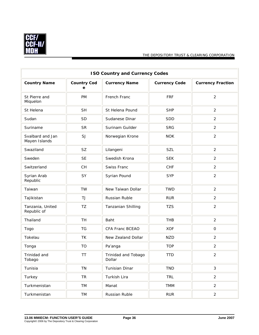

| <b>ISO Country and Currency Codes</b> |                         |                               |                      |                          |  |  |
|---------------------------------------|-------------------------|-------------------------------|----------------------|--------------------------|--|--|
| <b>Country Name</b>                   | <b>Country Cod</b><br>е | <b>Currency Name</b>          | <b>Currency Code</b> | <b>Currency Fraction</b> |  |  |
| St Pierre and<br>Miquelon             | <b>PM</b>               | French Franc                  | <b>FRF</b>           | $\overline{2}$           |  |  |
| St Helena                             | <b>SH</b>               | St Helena Pound               | <b>SHP</b>           | $\overline{2}$           |  |  |
| Sudan                                 | SD                      | Sudanese Dinar                | <b>SDD</b>           | $\overline{2}$           |  |  |
| Suriname                              | <b>SR</b>               | Surinam Guilder               | <b>SRG</b>           | $\overline{2}$           |  |  |
| Svalbard and Jan<br>Mayen Islands     | SJ                      | Norwegian Krone               | <b>NOK</b>           | $\overline{2}$           |  |  |
| Swaziland                             | <b>SZ</b>               | Lilangeni                     | SZL                  | $\overline{2}$           |  |  |
| Sweden                                | <b>SE</b>               | Swedish Krona                 | <b>SEK</b>           | $\overline{2}$           |  |  |
| Switzerland                           | <b>CH</b>               | Swiss Franc                   | <b>CHF</b>           | $\overline{2}$           |  |  |
| Syrian Arab<br>Republic               | SY                      | Syrian Pound                  | <b>SYP</b>           | $\overline{2}$           |  |  |
| Taiwan                                | <b>TW</b>               | New Taiwan Dollar             | <b>TWD</b>           | $\overline{2}$           |  |  |
| Tajikistan                            | TJ                      | Russian Ruble                 | <b>RUR</b>           | $\overline{2}$           |  |  |
| Tanzania, United<br>Republic of       | <b>TZ</b>               | Tanzanian Shilling            | <b>TZS</b>           | $\overline{2}$           |  |  |
| Thailand                              | <b>TH</b>               | Baht                          | <b>THB</b>           | $\overline{2}$           |  |  |
| Togo                                  | <b>TG</b>               | CFA Franc BCEAO               | <b>XOF</b>           | $\mathsf O$              |  |  |
| Tokelau                               | TK                      | New Zealand Dollar            | <b>NZD</b>           | $\overline{2}$           |  |  |
| Tonga                                 | <b>TO</b>               | Pa'anga                       | <b>TOP</b>           | $\overline{2}$           |  |  |
| Trinidad and<br>Tobago                | <b>TT</b>               | Trinidad and Tobago<br>Dollar | <b>TTD</b>           | $\overline{2}$           |  |  |
| Tunisia                               | TN                      | Tunisian Dinar                | <b>TND</b>           | $\mathfrak{Z}$           |  |  |
| Turkey                                | <b>TR</b>               | Turkish Lira                  | <b>TRL</b>           | $\overline{2}$           |  |  |
| Turkmenistan                          | TM                      | Manat                         | <b>TMM</b>           | $\overline{2}$           |  |  |
| Turkmenistan                          | TM                      | Russian Ruble                 | <b>RUR</b>           | $\overline{2}$           |  |  |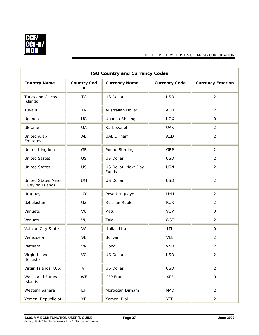

| <b>ISO Country and Currency Codes</b>          |                         |                              |                      |                          |  |  |
|------------------------------------------------|-------------------------|------------------------------|----------------------|--------------------------|--|--|
| <b>Country Name</b>                            | <b>Country Cod</b><br>е | <b>Currency Name</b>         | <b>Currency Code</b> | <b>Currency Fraction</b> |  |  |
| Turks and Caicos<br>Islands                    | <b>TC</b>               | US Dollar                    | <b>USD</b>           | $\overline{2}$           |  |  |
| Tuvalu                                         | TV                      | Australian Dollar            | <b>AUD</b>           | $\overline{2}$           |  |  |
| Uganda                                         | UG                      | Uganda Shilling              | <b>UGX</b>           | $\mathsf{O}$             |  |  |
| Ukraine                                        | UA                      | Karbovanet                   | <b>UAK</b>           | 2                        |  |  |
| <b>United Arab</b><br>Emirates                 | AE                      | <b>UAE Dirham</b>            | <b>AED</b>           | $\overline{2}$           |  |  |
| United Kingdom                                 | GB                      | Pound Sterling               | GBP                  | $\overline{2}$           |  |  |
| <b>United States</b>                           | US                      | US Dollar                    | <b>USD</b>           | $\overline{2}$           |  |  |
| <b>United States</b>                           | US                      | US Dollar, Next Day<br>Funds | <b>USN</b>           | $\overline{2}$           |  |  |
| <b>United States Minor</b><br>Outlying Islands | <b>UM</b>               | US Dollar                    | <b>USD</b>           | $\overline{2}$           |  |  |
| Uruguay                                        | UY                      | Peso Uruguayo                | <b>UYU</b>           | 2                        |  |  |
| Uzbekistan                                     | UZ                      | Russian Ruble                | <b>RUR</b>           | $\overline{2}$           |  |  |
| Vanuatu                                        | VU                      | Vatu                         | <b>VUV</b>           | $\mathsf{O}$             |  |  |
| Vanuatu                                        | VU                      | Tala                         | <b>WST</b>           | $\overline{2}$           |  |  |
| Vatican City State                             | VA                      | Italian Lira                 | <b>ITL</b>           | $\mathsf O$              |  |  |
| Venezuela                                      | VE                      | Bolivar                      | <b>VEB</b>           | 2                        |  |  |
| Vietnam                                        | VN                      | Dong                         | <b>VND</b>           | $\overline{2}$           |  |  |
| Virgin Islands<br>(British)                    | VG                      | US Dollar                    | <b>USD</b>           | $\overline{2}$           |  |  |
| Virgin Islands, U.S.                           | VI                      | US Dollar                    | <b>USD</b>           | $\overline{2}$           |  |  |
| Wallis and Futuna<br>Islands                   | <b>WF</b>               | CFP Franc                    | <b>XPF</b>           | $\mathsf O$              |  |  |
| Western Sahara                                 | EH                      | Moroccan Dirham              | <b>MAD</b>           | $\overline{2}$           |  |  |
| Yemen, Republic of                             | YE                      | Yemeni Rial                  | <b>YER</b>           | $\overline{2}$           |  |  |